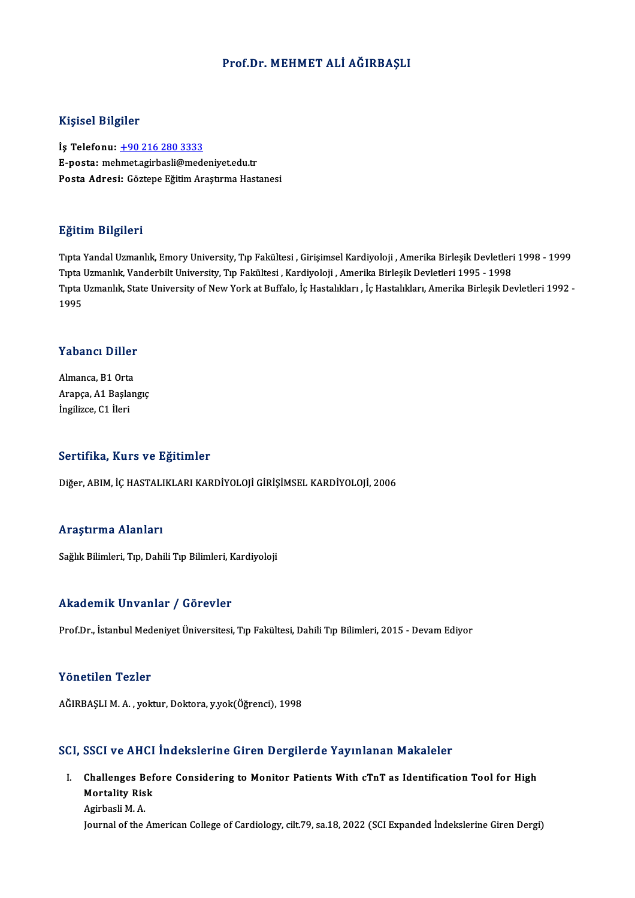### Prof.Dr.MEHMET ALİ AĞIRBAŞLI

### Kişisel Bilgiler

İş Telefonu: +90 216 280 3333 E-posta: me[hmet.agirbasli@med](tel:+90 216 280 3333)eniyet.edu.tr Posta Adresi: Göztepe Eğitim Araştırma Hastanesi

### Eğitim Bilgileri

TıptaYandalUzmanlık,EmoryUniversity,Tıp Fakültesi ,GirişimselKardiyoloji ,AmerikaBirleşikDevletleri1998 -1999 ngrenn Dirgirori<br>Tıpta Yandal Uzmanlık, Emory University, Tıp Fakültesi , Girişimsel Kardiyoloji , Amerika Birleşik Devletleri<br>Tıpta Uzmanlık, Vanderbilt University, Tıp Fakültesi , Kardiyoloji , Amerika Birleşik Devletler Tıpta Uzmanlık, State University of New York at Buffalo, İç Hastalıkları , İç Hastalıkları, Amerika Birleşik Devletleri 1992 -<br>1995 Tipta 1<br>Tipta 1<br>1995

### Yabancı Diller

**Yabancı Diller**<br>Almanca, B1 Orta<br>Aranca, A1 Baslan Arapça, A1 Başlangıç<br>İngilizce, C1 İleri Almanca, B1 Orta<br>Arapça, A1 Başla<br>İngilizce, C1 İleri

### Sertifika, Kurs ve Eğitimler

Diğer, ABIM, İÇ HASTALIKLARI KARDİYOLOJİ GİRİŞİMSEL KARDİYOLOJİ, 2006

#### Araştırma Alanları

Sağlık Bilimleri, Tıp, Dahili Tıp Bilimleri, Kardiyoloji

### Akademik Unvanlar / Görevler

Prof.Dr., İstanbul Medeniyet Üniversitesi, Tıp Fakültesi, Dahili Tıp Bilimleri, 2015 - Devam Ediyor

### Yönetilen Tezler

AĞIRBAŞLIM.A. ,yoktur,Doktora,y.yok(Öğrenci),1998

### SCI, SSCI ve AHCI İndekslerine Giren Dergilerde Yayınlanan Makaleler

CI, SSCI ve AHCI İndekslerine Giren Dergilerde Yayınlanan Makaleler<br>I. Challenges Before Considering to Monitor Patients With cTnT as Identification Tool for High<br>Mortality Biek Challenges Bef<br>Mortality Risk<br>Agirbaali M.A. Challenges B<br>Mortality Ris<br>Agirbasli M. A.<br>Jounnal of the Mortality Risk<br>Agirbasli M. A.<br>Journal of the American College of Cardiology, cilt.79, sa.18, 2022 (SCI Expanded İndekslerine Giren Dergi)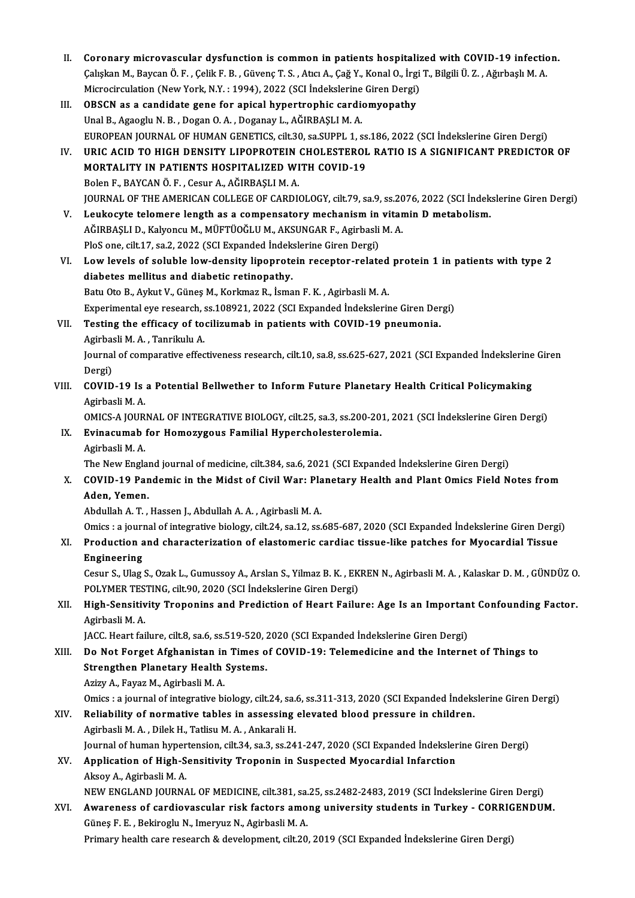- II. Coronary microvascular dysfunction is common in patients hospitalized with COVID-19 infection. Coronary microvascular dysfunction is common in patients hospitalized with COVID-19 infectionally controlled to<br>Çalışkan M., Baycan Ö. F. , Çelik F. B. , Güvenç T. S. , Atıcı A., Çağ Y., Konal O., İrgi T., Bilgili Ü. Z. , Coronary microvascular dysfunction is common in patients hospitaliz<br>Çalışkan M., Baycan Ö. F. , Çelik F. B. , Güvenç T. S. , Atıcı A., Çağ Y., Konal O., İrgi<br>Microcirculation (New York, N.Y. : 1994), 2022 (SCI İndekslerine Caliskan M., Baycan Ö. F., Celik F. B., Güvenç T. S., Atıcı A., Çağ Y., Konal O., İrg.<br>Microcirculation (New York, N.Y. : 1994), 2022 (SCI İndekslerine Giren Dergi)<br>III. OBSCN as a candidate gene for apical hypertrophic ca
- Microcirculation (New York, N.Y. : 1994), 2022 (SCI İndekslerine Giren Dergi)<br>III. OBSCN as a candidate gene for apical hypertrophic cardiomyopathy<br>Unal B., Agaoglu N. B., Dogan O. A., Doganay L., AĞIRBAŞLIM. A. OBSCN as a candidate gene for apical hypertrophic cardiomyopathy<br>Unal B., Agaoglu N. B. , Dogan O. A. , Doganay L., AĞIRBAŞLI M. A.<br>EUROPEAN JOURNAL OF HUMAN GENETICS, cilt.30, sa.SUPPL 1, ss.186, 2022 (SCI İndekslerine Gi Unal B., Agaoglu N. B. , Dogan O. A. , Doganay L., AĞIRBAŞLI M. A.<br>EUROPEAN JOURNAL OF HUMAN GENETICS, cilt.30, sa.SUPPL 1, ss.186, 2022 (SCI İndekslerine Giren Dergi)<br>IV. URIC ACID TO HIGH DENSITY LIPOPROTEIN CHOLESTEROL
- EUROPEAN JOURNAL OF HUMAN GENETICS, cilt.30, sa.SUPPL 1, ss<br>URIC ACID TO HIGH DENSITY LIPOPROTEIN CHOLESTEROL<br>MORTALITY IN PATIENTS HOSPITALIZED WITH COVID-19<br>Polan E. BAYCAN Ö. E. Cosur A. AČIPRASLIM A URIC ACID TO HIGH DENSITY LIPOPROTEIN<br>MORTALITY IN PATIENTS HOSPITALIZED WI<br>Bolen F., BAYCAN Ö. F. , Cesur A., AĞIRBAŞLI M. A.<br>JOUPNAL OF THE AMERICAN COLLECE OF CAPDI MORTALITY IN PATIENTS HOSPITALIZED WITH COVID-19<br>Bolen F., BAYCAN Ö. F. , Cesur A., AĞIRBAŞLI M. A.<br>JOURNAL OF THE AMERICAN COLLEGE OF CARDIOLOGY, cilt.79, sa.9, ss.2076, 2022 (SCI İndekslerine Giren Dergi) Bolen F., BAYCAN Ö. F., Cesur A., AĞIRBAŞLI M. A.<br>JOURNAL OF THE AMERICAN COLLEGE OF CARDIOLOGY, cilt.79, sa.9, ss.2076, 2022 (SCI İndek<br>V. Leukocyte telomere length as a compensatory mechanism in vitamin D metabolism.
- JOURNAL OF THE AMERICAN COLLEGE OF CARDIOLOGY, cilt.79, sa.9, ss.20<br>Leukocyte telomere length as a compensatory mechanism in vitar<br>AĞIRBAŞLI D., Kalyoncu M., MÜFTÜOĞLU M., AKSUNGAR F., Agirbasli M. A.<br>PlaS ana silt 17, sa. Leukocyte telomere length as a compensatory mechanism in<br>AĞIRBAŞLI D., Kalyoncu M., MÜFTÜOĞLU M., AKSUNGAR F., Agirbasli<br>PloS one, cilt.17, sa.2, 2022 (SCI Expanded İndekslerine Giren Dergi)<br>Law lavak of saluhla law dansit
- AĞIRBAŞLI D., Kalyoncu M., MÜFTÜOĞLU M., AKSUNGAR F., Agirbasli M. A.<br>PloS one, cilt.17, sa.2, 2022 (SCI Expanded İndekslerine Giren Dergi)<br>VI. Low levels of soluble low-density lipoprotein receptor-related protein 1 in pa PloS one, cilt.17, sa.2, 2022 (SCI Expanded Indek<br>Low levels of soluble low-density lipoprote<br>diabetes mellitus and diabetic retinopathy.<br>Petu Ote B. Aylnu V. Günes M. Korkmar B. İsma Low levels of soluble low-density lipoprotein receptor-related<br>diabetes mellitus and diabetic retinopathy.<br>Batu Oto B., Aykut V., Güneş M., Korkmaz R., İsman F. K. , Agirbasli M. A.<br>Evnerimentel eve researsh es 109021 2022 diabetes mellitus and diabetic retinopathy.<br>Batu Oto B., Aykut V., Güneş M., Korkmaz R., İsman F. K. , Agirbasli M. A.<br>Experimental eye research, ss.108921, 2022 (SCI Expanded İndekslerine Giren Dergi)<br>Testing the efficeau
- Batu Oto B., Aykut V., Güneş M., Korkmaz R., İsman F. K., Agirbasli M. A.<br>Experimental eye research, ss.108921, 2022 (SCI Expanded İndekslerine Giren Der<br>VII. Testing the efficacy of tocilizumab in patients with COVID-19 p Experimental eye research, s<br>Testing the efficacy of to<br>Agirbasli M. A. , Tanrikulu A.<br>Journal of comparative effect Testing the efficacy of tocilizumab in patients with COVID-19 pneumonia.<br>Agirbasli M. A. , Tanrikulu A.<br>Journal of comparative effectiveness research, cilt.10, sa.8, ss.625-627, 2021 (SCI Expanded İndekslerine Giren<br>Persi)

Agirbas<br>Journal<br>Dergi)<br>COVID Journal of comparative effectiveness research, cilt.10, sa.8, ss.625-627, 2021 (SCI Expanded Indekslerine<br>Dergi)<br>VIII. COVID-19 Is a Potential Bellwether to Inform Future Planetary Health Critical Policymaking<br>Agirbacli M.

# Dergi)<br>COVID-19 Is a Potential Bellwether to Inform Future Planetary Health Critical Policymaking<br>Agirbasli M. A. COVID-19 Is a Potential Bellwether to Inform Future Planetary Health Critical Policymaking<br>Agirbasli M. A.<br>OMICS-A JOURNAL OF INTEGRATIVE BIOLOGY, cilt.25, sa.3, ss.200-201, 2021 (SCI İndekslerine Giren Dergi)<br>Fyinasumah f

Agirbasli M. A.<br>OMICS-A JOURNAL OF INTEGRATIVE BIOLOGY, cilt.25, sa.3, ss.200-20<br>IX. Evinacumab for Homozygous Familial Hypercholesterolemia. OMICS-A JOUR<br>Evinacumab<br>Agirbasli M. A.<br>The New Engle Evinacumab for Homozygous Familial Hypercholesterolemia.<br>Agirbasli M. A.<br>The New England journal of medicine, cilt.384, sa.6, 2021 (SCI Expanded İndekslerine Giren Dergi)<br>COVID 19 Pandamia in the Midst of Givil Wary Planet

Agirbasli M. A.<br>The New England journal of medicine, cilt.384, sa.6, 2021 (SCI Expanded Indekslerine Giren Dergi)<br>X. COVID-19 Pandemic in the Midst of Civil War: Planetary Health and Plant Omics Field Notes from<br>Aden, Yeme The New Englar<br>COVID-19 Par<br>Aden, Yemen.<br>Abdullah A.T.

AbdulahA.T. ,HassenJ.,AbdulahA.A. ,AgirbasliM.A.

Omics : a journal of integrative biology, cilt.24, sa.12, ss.685-687, 2020 (SCI Expanded İndekslerine Giren Dergi)

Abdullah A. T. , Hassen J., Abdullah A. A. , Agirbasli M. A.<br>Omics : a journal of integrative biology, cilt.24, sa.12, ss.685-687, 2020 (SCI Expanded Indekslerine Giren Dergi<br>XI. Production and characterization of elastome **Omics : a journ<br>Production a<br>Engineering** Production and characterization of elastomeric cardiac tissue-like patches for Myocardial Tissue<br>Engineering<br>Cesur S., Ulag S., Ozak L., Gumussoy A., Arslan S., Yilmaz B. K. , EKREN N., Agirbasli M. A. , Kalaskar D. M. , G

Engineering<br>Cesur S., Ulag S., Ozak L., Gumussoy A., Arslan S., Yilmaz B. K. , EKREN N., Agirbasli M. A. , Kalaskar D. M. , GÜNDÜZ O. POLYMER TESTING, cilt.90, 2020 (SCI Indekslerine Giren Dergi)

# XII. High-Sensitivity Troponins and Prediction of Heart Failure: Age Is an Important Confounding Factor.<br>Agirbasli M. A. High-Sensitivity Troponins and Prediction of Heart Failure: Age Is an Importan<br>Agirbasli M. A.<br>JACC. Heart failure, cilt.8, sa.6, ss.519-520, 2020 (SCI Expanded İndekslerine Giren Dergi)<br>De Net Ferget Afghanistan in Times

Agirbasli M. A.<br>JACC. Heart failure, cilt.8, sa.6, ss.519-520, 2020 (SCI Expanded Indekslerine Giren Dergi)<br>XIII. Do Not Forget Afghanistan in Times of COVID-19: Telemedicine and the Internet of Things to<br>Strengthen Blanet JACC. Heart failure, cilt.8, sa.6, ss.519-520, 2<br>Do Not Forget Afghanistan in Times of<br>Strengthen Planetary Health Systems. Do Not Forget Afghanistan in<br>Strengthen Planetary Health<br>Azizy A., Fayaz M., Agirbasli M. A.<br>Omics La journal of integrative bi Strengthen Planetary Health Systems.<br>Azizy A., Fayaz M., Agirbasli M. A.<br>Omics : a journal of integrative biology, cilt.24, sa.6, ss.311-313, 2020 (SCI Expanded İndekslerine Giren Dergi)<br>Reliability of normative tables in

Azizy A., Fayaz M., Agirbasli M. A.<br>Omics : a journal of integrative biology, cilt.24, sa.6, ss.311-313, 2020 (SCI Expanded Indeks<br>XIV. Reliability of normative tables in assessing elevated blood pressure in children.<br>Agir Omics : a journal of integrative biology, cilt.24, sa.<br>Reliability of normative tables in assessing<br>Agirbasli M.A., Dilek H., Tatlisu M.A., Ankarali H.<br>Journal of buman bunettensian, cilt 24, sa 2, sa 24 Reliability of normative tables in assessing elevated blood pressure in children.<br>Agirbasli M. A. , Dilek H., Tatlisu M. A. , Ankarali H.<br>Journal of human hypertension, cilt.34, sa.3, ss.241-247, 2020 (SCI Expanded Indeksl

# XV. Application of High-Sensitivity Troponin in Suspected Myocardial Infarction Journal of human hyper<br><mark>Application of High-S</mark><br>Aksoy A., Agirbasli M. A.<br>NEW ENCLAND JOURNA Application of High-Sensitivity Troponin in Suspected Myocardial Infarction<br>Aksoy A., Agirbasli M. A.<br>NEW ENGLAND JOURNAL OF MEDICINE, cilt.381, sa.25, ss.2482-2483, 2019 (SCI İndekslerine Giren Dergi)<br>Ayyanonese of sandia

### XVI. Awareness of cardiovascular risk factors among university students in Turkey - CORRIGENDUM. NEW ENGLAND JOURNAL OF MEDICINE, cilt.381, sa.<br>Awareness of cardiovascular risk factors amo<br>Güneş F. E. , Bekiroglu N., Imeryuz N., Agirbasli M. A.<br>Primary baslib sare researsh & development, silt.30 Primary health care research & development, cilt.20, 2019 (SCI Expanded İndekslerine Giren Dergi)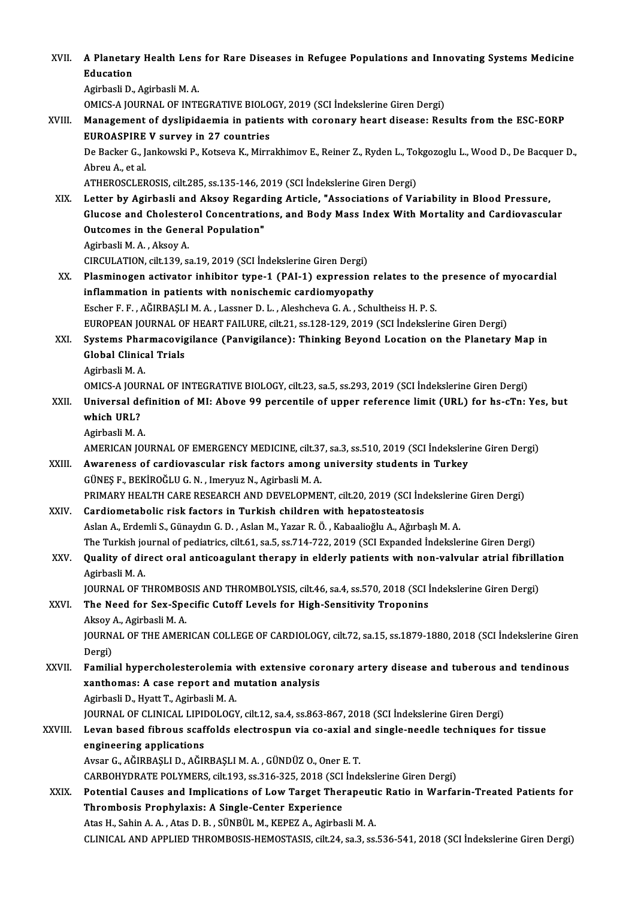| XVII.   | A Planetary Health Lens for Rare Diseases in Refugee Populations and Innovating Systems Medicine                                                                                          |
|---------|-------------------------------------------------------------------------------------------------------------------------------------------------------------------------------------------|
|         | Education                                                                                                                                                                                 |
|         | Agirbasli D., Agirbasli M. A.                                                                                                                                                             |
|         | OMICS-A JOURNAL OF INTEGRATIVE BIOLOGY, 2019 (SCI Indekslerine Giren Dergi)                                                                                                               |
| XVIII.  | Management of dyslipidaemia in patients with coronary heart disease: Results from the ESC-EORP                                                                                            |
|         | <b>EUROASPIRE V survey in 27 countries</b>                                                                                                                                                |
|         | De Backer G., Jankowski P., Kotseva K., Mirrakhimov E., Reiner Z., Ryden L., Tokgozoglu L., Wood D., De Bacquer D.,                                                                       |
|         | Abreu A., et al.                                                                                                                                                                          |
|         | ATHEROSCLEROSIS, cilt 285, ss 135-146, 2019 (SCI İndekslerine Giren Dergi)                                                                                                                |
| XIX.    | Letter by Agirbasli and Aksoy Regarding Article, "Associations of Variability in Blood Pressure,                                                                                          |
|         | Glucose and Cholesterol Concentrations, and Body Mass Index With Mortality and Cardiovascular                                                                                             |
|         | Outcomes in the General Population"                                                                                                                                                       |
|         | Agirbasli M.A., Aksoy A.                                                                                                                                                                  |
|         | CIRCULATION, cilt.139, sa.19, 2019 (SCI İndekslerine Giren Dergi)                                                                                                                         |
| XX.     | Plasminogen activator inhibitor type-1 (PAI-1) expression relates to the presence of myocardial                                                                                           |
|         | inflammation in patients with nonischemic cardiomyopathy                                                                                                                                  |
|         | Escher F. F., AĞIRBAŞLI M. A., Lassner D. L., Aleshcheva G. A., Schultheiss H. P. S.                                                                                                      |
| XXI.    | EUROPEAN JOURNAL OF HEART FAILURE, cilt.21, ss.128-129, 2019 (SCI Indekslerine Giren Dergi)<br>Systems Pharmacovigilance (Panvigilance): Thinking Beyond Location on the Planetary Map in |
|         | <b>Global Clinical Trials</b>                                                                                                                                                             |
|         | Agirbasli M A                                                                                                                                                                             |
|         | OMICS-A JOURNAL OF INTEGRATIVE BIOLOGY, cilt.23, sa.5, ss.293, 2019 (SCI İndekslerine Giren Dergi)                                                                                        |
| XXII.   | Universal definition of MI: Above 99 percentile of upper reference limit (URL) for hs-cTn: Yes, but                                                                                       |
|         | which URL?                                                                                                                                                                                |
|         | Agirbasli M.A.                                                                                                                                                                            |
|         | AMERICAN JOURNAL OF EMERGENCY MEDICINE, cilt.37, sa.3, ss.510, 2019 (SCI İndekslerine Giren Dergi)                                                                                        |
| XXIII.  | Awareness of cardiovascular risk factors among university students in Turkey                                                                                                              |
|         | GÜNEŞ F., BEKİROĞLU G. N., Imeryuz N., Agirbasli M. A.                                                                                                                                    |
|         | PRIMARY HEALTH CARE RESEARCH AND DEVELOPMENT, cilt.20, 2019 (SCI İndekslerine Giren Dergi)                                                                                                |
| XXIV.   | Cardiometabolic risk factors in Turkish children with hepatosteatosis                                                                                                                     |
|         | Aslan A., Erdemli S., Günaydın G. D., Aslan M., Yazar R. Ö., Kabaalioğlu A., Ağırbaşlı M. A.                                                                                              |
|         | The Turkish journal of pediatrics, cilt.61, sa.5, ss.714-722, 2019 (SCI Expanded İndekslerine Giren Dergi)                                                                                |
| XXV.    | Quality of direct oral anticoagulant therapy in elderly patients with non-valvular atrial fibrillation                                                                                    |
|         | Agirbasli M A                                                                                                                                                                             |
|         | JOURNAL OF THROMBOSIS AND THROMBOLYSIS, cilt46, sa.4, ss.570, 2018 (SCI Indekslerine Giren Dergi)                                                                                         |
| XXVI.   | The Need for Sex-Specific Cutoff Levels for High-Sensitivity Troponins                                                                                                                    |
|         | Aksoy A., Agirbasli M. A.                                                                                                                                                                 |
|         | JOURNAL OF THE AMERICAN COLLEGE OF CARDIOLOGY, cilt.72, sa.15, ss.1879-1880, 2018 (SCI Indekslerine Giren                                                                                 |
|         | Dergi)                                                                                                                                                                                    |
| XXVII.  | Familial hypercholesterolemia with extensive coronary artery disease and tuberous and tendinous                                                                                           |
|         | xanthomas: A case report and mutation analysis<br>Agirbasli D., Hyatt T., Agirbasli M. A.                                                                                                 |
|         | JOURNAL OF CLINICAL LIPIDOLOGY, cilt.12, sa.4, ss.863-867, 2018 (SCI İndekslerine Giren Dergi)                                                                                            |
| XXVIII. | Levan based fibrous scaffolds electrospun via co-axial and single-needle techniques for tissue                                                                                            |
|         | engineering applications                                                                                                                                                                  |
|         | Avsar G., AĞIRBAŞLI D., AĞIRBAŞLI M. A., GÜNDÜZ O., Oner E. T.                                                                                                                            |
|         | CARBOHYDRATE POLYMERS, cilt.193, ss.316-325, 2018 (SCI Indekslerine Giren Dergi)                                                                                                          |
| XXIX.   | Potential Causes and Implications of Low Target Therapeutic Ratio in Warfarin-Treated Patients for                                                                                        |
|         | Thrombosis Prophylaxis: A Single-Center Experience                                                                                                                                        |
|         | Atas H., Sahin A. A., Atas D. B., SÜNBÜL M., KEPEZ A., Agirbasli M. A.                                                                                                                    |
|         | CLINICAL AND APPLIED THROMBOSIS-HEMOSTASIS, cilt.24, sa.3, ss.536-541, 2018 (SCI İndekslerine Giren Dergi)                                                                                |
|         |                                                                                                                                                                                           |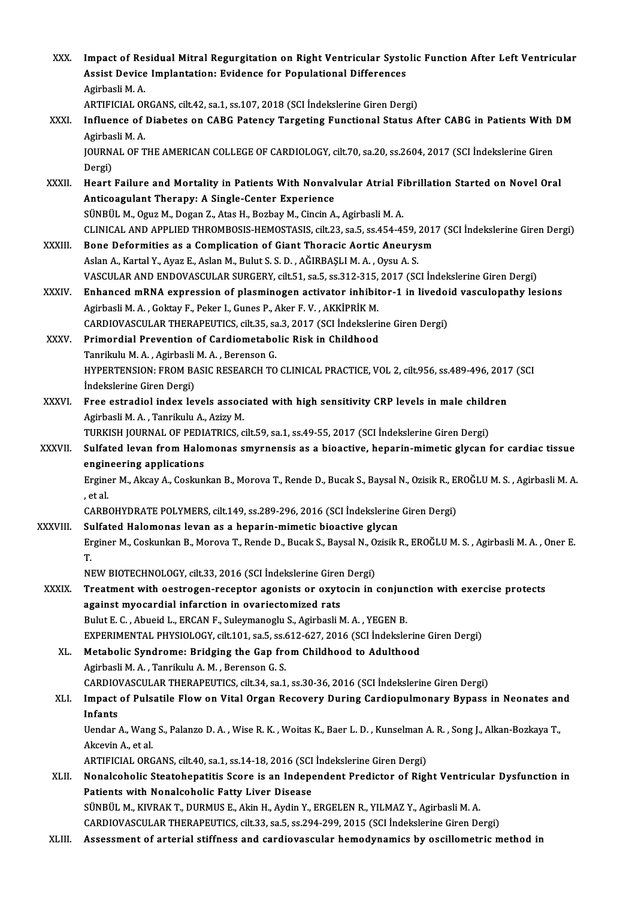| XXX.         | Impact of Residual Mitral Regurgitation on Right Ventricular Systolic Function After Left Ventricular<br>Assist Device Implantation: Evidence for Populational Differences                                                                                                     |
|--------------|--------------------------------------------------------------------------------------------------------------------------------------------------------------------------------------------------------------------------------------------------------------------------------|
|              | Agirbasli M A<br>ARTIFICIAL ORGANS, cilt.42, sa.1, ss.107, 2018 (SCI Indekslerine Giren Dergi)                                                                                                                                                                                 |
| XXXI.        | Influence of Diabetes on CABG Patency Targeting Functional Status After CABG in Patients With DM<br>Agirbasli M.A.                                                                                                                                                             |
|              | JOURNAL OF THE AMERICAN COLLEGE OF CARDIOLOGY, cilt70, sa.20, ss.2604, 2017 (SCI Indekslerine Giren<br>Dergi)                                                                                                                                                                  |
| XXXII.       | Heart Failure and Mortality in Patients With Nonvalvular Atrial Fibrillation Started on Novel Oral<br>Anticoagulant Therapy: A Single-Center Experience                                                                                                                        |
|              | SÜNBÜL M., Oguz M., Dogan Z., Atas H., Bozbay M., Cincin A., Agirbasli M. A.<br>CLINICAL AND APPLIED THROMBOSIS-HEMOSTASIS, cilt.23, sa.5, ss.454-459, 2017 (SCI Indekslerine Giren Dergi)                                                                                     |
| XXXIII.      | Bone Deformities as a Complication of Giant Thoracic Aortic Aneurysm<br>Aslan A., Kartal Y., Ayaz E., Aslan M., Bulut S. S. D., AĞIRBAŞLI M. A., Oysu A. S.                                                                                                                    |
| <b>XXXIV</b> | VASCULAR AND ENDOVASCULAR SURGERY, cilt.51, sa.5, ss.312-315, 2017 (SCI Indekslerine Giren Dergi)<br>Enhanced mRNA expression of plasminogen activator inhibitor-1 in livedoid vasculopathy lesions<br>Agirbasli M. A., Goktay F., Peker I., Gunes P., Aker F. V., AKKİPRİK M. |
|              | CARDIOVASCULAR THERAPEUTICS, cilt.35, sa.3, 2017 (SCI Indekslerine Giren Dergi)                                                                                                                                                                                                |
| XXXV.        | Primordial Prevention of Cardiometabolic Risk in Childhood                                                                                                                                                                                                                     |
|              | Tanrikulu M. A., Agirbasli M. A., Berenson G.                                                                                                                                                                                                                                  |
|              | HYPERTENSION: FROM BASIC RESEARCH TO CLINICAL PRACTICE, VOL 2, cilt.956, ss.489-496, 2017 (SCI<br>İndekslerine Giren Dergi)                                                                                                                                                    |
| XXXVI.       | Free estradiol index levels associated with high sensitivity CRP levels in male children<br>Agirbasli M. A., Tanrikulu A., Azizy M.<br>TURKISH JOURNAL OF PEDIATRICS, cilt.59, sa.1, ss.49-55, 2017 (SCI İndekslerine Giren Dergi)                                             |
| XXXVII.      | Sulfated levan from Halomonas smyrnensis as a bioactive, heparin-mimetic glycan for cardiac tissue<br>engineering applications                                                                                                                                                 |
|              | Erginer M., Akcay A., Coskunkan B., Morova T., Rende D., Bucak S., Baysal N., Ozisik R., EROĞLU M. S., Agirbasli M. A.<br>et al.                                                                                                                                               |
|              | CARBOHYDRATE POLYMERS, cilt 149, ss.289-296, 2016 (SCI İndekslerine Giren Dergi)                                                                                                                                                                                               |
| XXXVIII.     | Sulfated Halomonas levan as a heparin-mimetic bioactive glycan                                                                                                                                                                                                                 |
|              | Erginer M., Coskunkan B., Morova T., Rende D., Bucak S., Baysal N., Ozisik R., EROĞLU M. S., Agirbasli M. A., Oner E.<br>T.                                                                                                                                                    |
|              | NEW BIOTECHNOLOGY, cilt.33, 2016 (SCI Indekslerine Giren Dergi)                                                                                                                                                                                                                |
| XXXIX.       | Treatment with oestrogen-receptor agonists or oxytocin in conjunction with exercise protects<br>against myocardial infarction in ovariectomized rats                                                                                                                           |
|              | Bulut E. C., Abueid L., ERCAN F., Suleymanoglu S., Agirbasli M. A., YEGEN B.                                                                                                                                                                                                   |
|              | EXPERIMENTAL PHYSIOLOGY, cilt.101, sa.5, ss.612-627, 2016 (SCI İndekslerine Giren Dergi)                                                                                                                                                                                       |
| XL.          | Metabolic Syndrome: Bridging the Gap from Childhood to Adulthood<br>Agirbasli M. A., Tanrikulu A. M., Berenson G. S.                                                                                                                                                           |
|              | CARDIOVASCULAR THERAPEUTICS, cilt.34, sa.1, ss.30-36, 2016 (SCI İndekslerine Giren Dergi)                                                                                                                                                                                      |
| XLI.         | Impact of Pulsatile Flow on Vital Organ Recovery During Cardiopulmonary Bypass in Neonates and<br>Infants                                                                                                                                                                      |
|              | Uendar A., Wang S., Palanzo D. A., Wise R. K., Woitas K., Baer L. D., Kunselman A. R., Song J., Alkan-Bozkaya T.,<br>Akcevin A, et al.                                                                                                                                         |
| XLII.        | ARTIFICIAL ORGANS, cilt 40, sa.1, ss.14-18, 2016 (SCI Indekslerine Giren Dergi)<br>Nonalcoholic Steatohepatitis Score is an Independent Predictor of Right Ventricular Dysfunction in                                                                                          |
|              | Patients with Nonalcoholic Fatty Liver Disease                                                                                                                                                                                                                                 |
|              | SÜNBÜL M., KIVRAK T., DURMUS E., Akin H., Aydin Y., ERGELEN R., YILMAZ Y., Agirbasli M. A.                                                                                                                                                                                     |
|              | CARDIOVASCULAR THERAPEUTICS, cilt.33, sa.5, ss.294-299, 2015 (SCI İndekslerine Giren Dergi)                                                                                                                                                                                    |
| XLIII.       | Assessment of arterial stiffness and cardiovascular hemodynamics by oscillometric method in                                                                                                                                                                                    |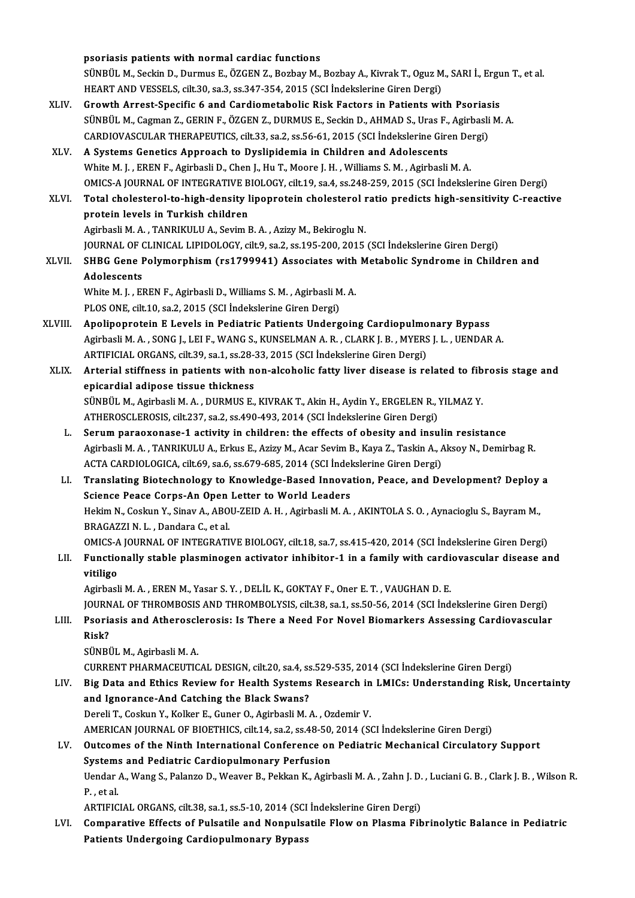psoriasis patients with normal cardiac functions psoriasis patients with normal cardiac functions<br>SÜNBÜL M., Seckin D., Durmus E., ÖZGEN Z., Bozbay M., Bozbay A., Kivrak T., Oguz M., SARI İ., Ergun T., et al.<br>HEAPT AND VESSELS, silt 30, se 3, se 347, 354, 3015 (SCL İndek psoriasis patients with normal cardiac functions<br>SÜNBÜL M., Seckin D., Durmus E., ÖZGEN Z., Bozbay M., Bozbay A., Kivrak T., Oguz M<br>HEART AND VESSELS, cilt.30, sa.3, ss.347-354, 2015 (SCI İndekslerine Giren Dergi)<br>Creuth A SÜNBÜL M., Seckin D., Durmus E., ÖZGEN Z., Bozbay M., Bozbay A., Kivrak T., Oguz M., SARI İ., Ergu<br>HEART AND VESSELS, cilt.30, sa.3, ss.347-354, 2015 (SCI İndekslerine Giren Dergi)<br>XLIV. Growth Arrest-Specific 6 and Cardio HEART AND VESSELS, cilt.30, sa.3, ss.347-354, 2015 (SCI İndekslerine Giren Dergi)<br>Growth Arrest-Specific 6 and Cardiometabolic Risk Factors in Patients with Psoriasis<br>SÜNBÜL M., Cagman Z., GERIN F., ÖZGEN Z., DURMUS E., Se Growth Arrest-Specific 6 and Cardiometabolic Risk Factors in Patients with Psoriasis XLV. A Systems Genetics Approach to Dyslipidemia in Children and Adolescents<br>White M. J., EREN F., Agirbasli D., Chen J., Hu T., Moore J. H., Williams S. M., Agirbasli M. A. CARDIOVASCULAR THERAPEUTICS, cilt.33, sa.2, ss.56-61, 2015 (SCI İndekslerine Giren Dergi) OMICS-AJOURNALOF INTEGRATIVEBIOLOGY, cilt.19, sa.4, ss.248-259,2015 (SCI İndekslerineGirenDergi) White M. J. , EREN F., Agirbasli D., Chen J., Hu T., Moore J. H. , Williams S. M. , Agirbasli M. A.<br>OMICS-A JOURNAL OF INTEGRATIVE BIOLOGY, cilt.19, sa.4, ss.248-259, 2015 (SCI İndekslerine Giren Dergi)<br>XLVI. Total cholest OMICS-A JOURNAL OF INTEGRATIVE B<br>Total cholesterol-to-high-density l<br>protein levels in Turkish children<br>Agirbacli M.A., TANPIKULLA, Sovim L Total cholesterol-to-high-density lipoprotein cholesterol r<br>protein levels in Turkish children<br>Agirbasli M.A., TANRIKULU A., Sevim B.A., Azizy M., Bekiroglu N.<br>JOUPMAL OF CLINICAL LIBIDOLOCY, si<sup>11.</sup>9, se 2, se 195, 209, 2 protein levels in Turkish children<br>Agirbasli M. A. , TANRIKULU A., Sevim B. A. , Azizy M., Bekiroglu N.<br>JOURNAL OF CLINICAL LIPIDOLOGY, cilt.9, sa.2, ss.195-200, 2015 (SCI İndekslerine Giren Dergi) Agirbasli M. A. , TANRIKULU A., Sevim B. A. , Azizy M., Bekiroglu N.<br>JOURNAL OF CLINICAL LIPIDOLOGY, cilt.9, sa.2, ss.195-200, 2015 (SCI İndekslerine Giren Dergi)<br>XLVII. SHBG Gene Polymorphism (rs1799941) Associates with M JOURNAL OF (<br>SHBG Gene I<br>Adolescents<br>White M J - El SHBG Gene Polymorphism (rs1799941) Associates with<br>Adolescents<br>White M. J. , EREN F., Agirbasli D., Williams S. M. , Agirbasli M. A.<br>BLOS ONE. silt 10, 82, 2015. (SCL indekslerine Ciren Dergi) Adolescents<br>White M. J. , EREN F., Agirbasli D., Williams S. M. , Agirbasli M. A.<br>PLOS ONE, cilt.10, sa.2, 2015 (SCI İndekslerine Giren Dergi) White M. J., EREN F., Agirbasli D., Williams S. M., Agirbasli M. A.<br>PLOS ONE, cilt.10, sa.2, 2015 (SCI Indekslerine Giren Dergi)<br>XLVIII. Apolipoprotein E Levels in Pediatric Patients Undergoing Cardiopulmonary Bypass<br>Agirb PLOS ONE, cilt.10, sa.2, 2015 (SCI İndekslerine Giren Dergi)<br>Apolipoprotein E Levels in Pediatric Patients Undergoing Cardiopulmonary Bypass<br>Agirbasli M. A. , SONG J., LEI F., WANG S., KUNSELMAN A. R. , CLARK J. B. , MYERS Apolipoprotein E Levels in Pediatric Patients Undergoing Cardiopulmo<br>Agirbasli M. A. , SONG J., LEI F., WANG S., KUNSELMAN A. R. , CLARK J. B. , MYERS<br>ARTIFICIAL ORGANS, cilt.39, sa.1, ss.28-33, 2015 (SCI İndekslerine Gire Agirbasli M. A. , SONG J., LEI F., WANG S., KUNSELMAN A. R. , CLARK J. B. , MYERS J. L. , UENDAR A.<br>ARTIFICIAL ORGANS, cilt.39, sa.1, ss.28-33, 2015 (SCI Indekslerine Giren Dergi)<br>XLIX. Arterial stiffness in patients with ARTIFICIAL ORGANS, cilt.39, sa.1, ss.28-33, 2015 (SCI İndekslerine Giren Dergi) Arterial stiffness in patients with non-alcoholic fatty liver disease is related to fib<br>epicardial adipose tissue thickness<br>SÜNBÜL M., Agirbasli M. A. , DURMUS E., KIVRAK T., Akin H., Aydin Y., ERGELEN R., YILMAZ Y.<br>ATHERO epicardial adipose tissue thickness<br>SÜNBÜL M., Agirbasli M. A. , DURMUS E., KIVRAK T., Akin H., Aydin Y., ERGELEN R., `<br>ATHEROSCLEROSIS, cilt.237, sa.2, ss.490-493, 2014 (SCI İndekslerine Giren Dergi)<br>Serum naraayanassa 1 SÜNBÜL M., Agirbasli M. A., DURMUS E., KIVRAK T., Akin H., Aydin Y., ERGELEN R., YILMAZ Y.<br>ATHEROSCLEROSIS, cilt.237, sa.2, ss.490-493, 2014 (SCI Indekslerine Giren Dergi)<br>L. Serum paraoxonase-1 activity in children: the e ATHEROSCLEROSIS, cilt.237, sa.2, ss.490-493, 2014 (SCI İndekslerine Giren Dergi)<br>Serum paraoxonase-1 activity in children: the effects of obesity and insulin resistance<br>Agirbasli M. A., TANRIKULU A., Erkus E., Azizy M., Ac Serum paraoxonase-1 activity in children: the effects of obesity and insul<br>Agirbasli M. A. , TANRIKULU A., Erkus E., Azizy M., Acar Sevim B., Kaya Z., Taskin A., A<br>ACTA CARDIOLOGICA, cilt.69, sa.6, ss.679-685, 2014 (SCI İn ACTA CARDIOLOGICA, cilt.69, sa.6, ss.679-685, 2014 (SCI Indekslerine Giren Dergi)<br>LI. Translating Biotechnology to Knowledge-Based Innovation, Peace, and Development? Deploy a ACTA CARDIOLOGICA, cilt.69, sa.6, ss.679-685, 2014 (SCI İndel<br>Translating Biotechnology to Knowledge-Based Innova<br>Science Peace Corps-An Open Letter to World Leaders<br>Hekim N. Coskup Y. Siney A. ABOU ZEID A. H. Asirbasli M. Hekim N., Coskun Y., Sinav A., ABOU-ZEID A. H. , Agirbasli M. A. , AKINTOLA S. O. , Aynacioglu S., Bayram M.,<br>BRAGAZZI N. L. , Dandara C., et al. Science Peace Corps-An Open<br>Hekim N., Coskun Y., Sinav A., ABO<br>BRAGAZZI N. L. , Dandara C., et al.<br>OMICS A JOURNAL OF INTECRATI Hekim N., Coskun Y., Sinav A., ABOU-ZEID A. H. , Agirbasli M. A. , AKINTOLA S. O. , Aynacioglu S., Bayram M.,<br>BRAGAZZI N. L. , Dandara C., et al.<br>OMICS-A JOURNAL OF INTEGRATIVE BIOLOGY, cilt.18, sa.7, ss.415-420, 2014 (SCI BRAGAZZI N. L. , Dandara C., et al.<br>OMICS-A JOURNAL OF INTEGRATIVE BIOLOGY, cilt.18, sa.7, ss.415-420, 2014 (SCI İndekslerine Giren Dergi)<br>LII. Functionally stable plasminogen activator inhibitor-1 in a family with car OMICS-A<br>Functio<br>vitiligo LII. Functionally stable plasminogen activator inhibitor-1 in a family with cardiovascular disease and<br>vitiligo<br>Agirbasli M. A., EREN M., Yasar S. Y., DELİL K., GOKTAY F., Oner E. T., VAUGHAN D. E. vitiligo<br>Agirbasli M. A. , EREN M., Yasar S. Y. , DELİL K., GOKTAY F., Oner E. T. , VAUGHAN D. E.<br>JOURNAL OF THROMBOSIS AND THROMBOLYSIS, cilt.38, sa.1, ss.50-56, 2014 (SCI İndekslerine Giren Dergi)<br>Peariasis and Atharassl Agirbasli M. A., EREN M., Yasar S. Y., DELİL K., GOKTAY F., Oner E. T., VAUGHAN D. E.<br>JOURNAL OF THROMBOSIS AND THROMBOLYSIS, cilt.38, sa.1, ss.50-56, 2014 (SCI İndekslerine Giren Dergi)<br>LIII. Psoriasis and Atherosclerosis JOURN<br><mark>Psori</mark>a<br>Risk?<br>sünpi Psoriasis and Atheroscl<br>Risk?<br>SÜNBÜL M., Agirbasli M. A.<br>CUPPENT PHAPMACEUTIC Risk?<br>SÜNBÜL M., Agirbasli M. A.<br>CURRENT PHARMACEUTICAL DESIGN, cilt.20, sa.4, ss.529-535, 2014 (SCI İndekslerine Giren Dergi) SÜNBÜL M., Agirbasli M. A.<br>CURRENT PHARMACEUTICAL DESIGN, cilt.20, sa.4, ss.529-535, 2014 (SCI İndekslerine Giren Dergi)<br>LIV. Big Data and Ethics Review for Health Systems Research in LMICs: Understanding Risk, Uncertainty CURRENT PHARMACEUTICAL DESIGN, cilt.20, sa.4, ss<br>Big Data and Ethics Review for Health Systems<br>and Ignorance-And Catching the Black Swans?<br>Pereli T. Coskup Y. Kellter E. Cuper Q. Asirbasli M. Big Data and Ethics Review for Health Systems Research in<br>and Ignorance-And Catching the Black Swans?<br>Dereli T., Coskun Y., Kolker E., Guner O., Agirbasli M.A., Ozdemir V.<br>AMERICAN JOURNAL OF PIOETHICS silt 14, 82,2,848,50 and Ignorance-And Catching the Black Swans?<br>Dereli T., Coskun Y., Kolker E., Guner O., Agirbasli M. A. , Ozdemir V.<br>AMERICAN JOURNAL OF BIOETHICS, cilt.14, sa.2, ss.48-50, 2014 (SCI İndekslerine Giren Dergi)<br>Quteomes of th Dereli T., Coskun Y., Kolker E., Guner O., Agirbasli M. A. , Ozdemir V.<br>AMERICAN JOURNAL OF BIOETHICS, cilt.14, sa.2, ss.48-50, 2014 (SCI İndekslerine Giren Dergi)<br>LV. Outcomes of the Ninth International Conference on AMERICAN JOURNAL OF BIOETHICS, cilt.14, sa.2, ss.48-50,<br>Outcomes of the Ninth International Conference on<br>Systems and Pediatric Cardiopulmonary Perfusion<br>Handar A. Wang S. Balange D. Wasyar B. Bakkan K. Agirl Outcomes of the Ninth International Conference on Pediatric Mechanical Circulatory Support<br>Systems and Pediatric Cardiopulmonary Perfusion<br>Uendar A., Wang S., Palanzo D., Weaver B., Pekkan K., Agirbasli M. A. , Zahn J. D. Systems and Pediatric Cardiopulmonary Perfusion<br>Uendar A., Wang S., Palanzo D., Weaver B., Pekkan K., Agirbasli M. A. , Zahn J. D<br>P., et al.<br>ARTIFICIAL ORGANS, cilt.38, sa.1, ss.5-10, 2014 (SCI İndekslerine Giren Dergi) Uendar A., Wang S., Palanzo D., Weaver B., Pekkan K., Agirbasli M. A. , Zahn J. D.<br>P. , et al.<br>ARTIFICIAL ORGANS, cilt.38, sa.1, ss.5-10, 2014 (SCI İndekslerine Giren Dergi)<br>Comparative Effects of Pulsatile and Noppulsatil LVI. Comparative Effects of Pulsatile and Nonpulsatile Flowon Plasma Fibrinolytic Balance in Pediatric Patients Undergoing Cardiopulmonary Bypass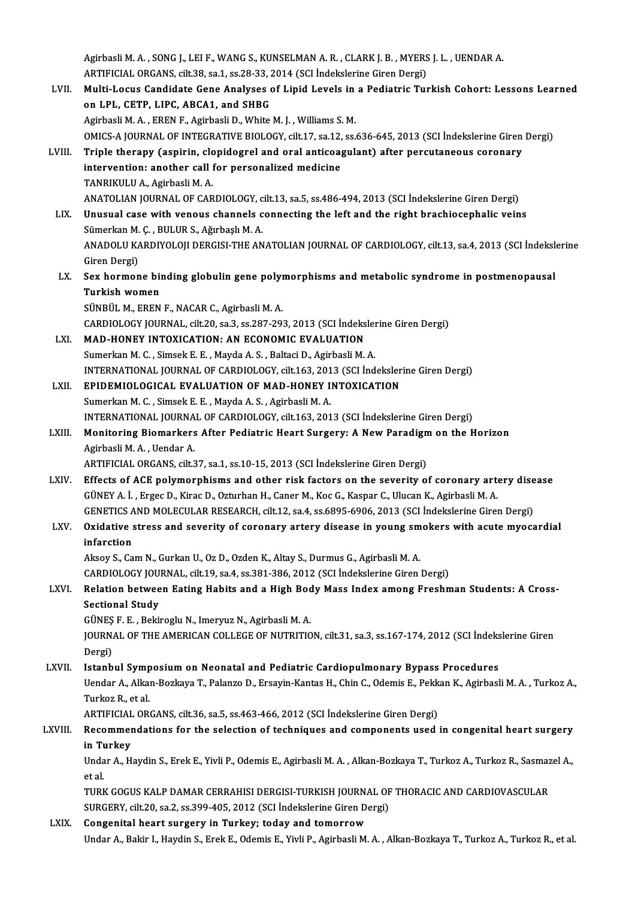Agirbasli M. A. , SONG J., LEI F., WANG S., KUNSELMAN A. R. , CLARK J. B. , MYERS J. L. , UENDAR A.<br>ARTIEICIAL ORGANS, silt 38, ss 1, ss 28, 32, 3014 (SCL Indekslering Giron Dergi). Agirbasli M. A. , SONG J., LEI F., WANG S., KUNSELMAN A. R. , CLARK J. B. , MYERS<br>ARTIFICIAL ORGANS, cilt.38, sa.1, ss.28-33, 2014 (SCI İndekslerine Giren Dergi)<br>Multi Legue Candidate Cene Analyses of Linid Leysle in a Pod ARTIFICIAL ORGANS, cilt.38, sa.1, ss.28-33, 2014 (SCI İndekslerine Giren Dergi)<br>LVII. Multi-Locus Candidate Gene Analyses of Lipid Levels in a Pediatric Turkish Cohort: Lessons Learned on LPL, CETP, LIPC, ABCA1, and SHBG Agirbasli M. A., EREN F., Agirbasli D., White M. J., Williams S. M. on LPL, CETP, LIPC, ABCA1, and SHBG<br>Agirbasli M. A. , EREN F., Agirbasli D., White M. J. , Williams S. M.<br>OMICS-A JOURNAL OF INTEGRATIVE BIOLOGY, cilt.17, sa.12, ss.636-645, 2013 (SCI İndekslerine Giren Dergi)<br>Triple thera Agirbasli M. A. , EREN F., Agirbasli D., White M. J. , Williams S. M.<br>OMICS-A JOURNAL OF INTEGRATIVE BIOLOGY, cilt.17, sa.12, ss.636-645, 2013 (SCI İndekslerine Giren<br>LVIII. Triple therapy (aspirin, clopidogrel and oral an OMICS-A JOURNAL OF INTEGRATIVE BIOLOGY, cilt.17, sa.12,<br>Triple therapy (aspirin, clopidogrel and oral anticoal<br>intervention: another call for personalized medicine<br>TANPIKULLA Agirbasli MA Triple therapy (aspirin, clopidogrel and oral anticoagulant) after percutaneous coronary intervention: another call for personalized medicine<br>TANRIKULU A., Agirbasli M. A. intervention: another call for personalized medicine<br>TANRIKULU A., Agirbasli M. A.<br>ANATOLIAN JOURNAL OF CARDIOLOGY, cilt.13, sa.5, ss.486-494, 2013 (SCI İndekslerine Giren Dergi)<br>Unusual sase with veneus shannals sennestin TANRIKULU A., Agirbasli M. A.<br>ANATOLIAN JOURNAL OF CARDIOLOGY, cilt.13, sa.5, ss.486-494, 2013 (SCI İndekslerine Giren Dergi)<br>LIX. Unusual case with venous channels connecting the left and the right brachiocephalic veins<br>S ANATOLIAN JOURNAL OF CARDIOLOGY, c<br>Unusual case with venous channels c<br>Sümerkan M. Ç. , BULUR S., Ağırbaşlı M. A.<br>ANADOLU KARDIVOLOU DERCISLTUE AN Unusual case with venous channels connecting the left and the right brachiocephalic veins<br>Sümerkan M. Ç. , BULUR S., Ağırbaşlı M. A.<br>ANADOLU KARDIYOLOJI DERGISI-THE ANATOLIAN JOURNAL OF CARDIOLOGY, cilt.13, sa.4, 2013 (SCI Sümerkan M. Ç. , BULUR S., Ağırbaşlı M. A.<br>ANADOLU KARDIYOLOJI DERGISI-THE ANATOLIAN JOURNAL OF CARDIOLOGY, cilt.13, sa.4, 2013 (SCI İndekslerine<br>Giren Dergi) ANADOLU KARDIYOLOJI DERGISI-THE ANATOLIAN JOURNAL OF CARDIOLOGY, cilt.13, sa.4, 2013 (SCI İndekslamici Giren Dergi)<br>LX. Sex hormone binding globulin gene polymorphisms and metabolic syndrome in postmenopausal<br>Turkish women Giren Dergi)<br>Sex hormone bil<br>Turkish women<br>sünpüt M. EREN Sex hormone binding globulin gene polyi<br>Turkish women<br>SÜNBÜL M., EREN F., NACAR C., Agirbasli M. A.<br>CARDIOLOCY JOURNAL si<sup>1</sup>520 sa 3 sa 387 393 Turkish women<br>SÜNBÜL M., EREN F., NACAR C., Agirbasli M. A.<br>CARDIOLOGY JOURNAL, cilt.20, sa.3, ss.287-293, 2013 (SCI İndekslerine Giren Dergi)<br>MAD HONEY INTOXICATION: AN ECONOMIC EVALUATION SÜNBÜL M., EREN F., NACAR C., Agirbasli M. A.<br>CARDIOLOGY JOURNAL, cilt.20, sa.3, ss.287-293, 2013 (SCI İndeks<br>LXI. MAD-HONEY INTOXICATION: AN ECONOMIC EVALUATION<br>Sumarkan M. G., Simaal: E. E., Mauda A. S., Baltagi D. Agirb MAD-HONEY INTOXICATION: AN ECONOMIC EVALUATION<br>Sumerkan M. C. , Simsek E. E. , Mayda A. S. , Baltaci D., Agirbasli M. A. INTERNATIONAL JOURNALOF CARDIOLOGY, cilt.163,2013 (SCI İndekslerineGirenDergi) Sumerkan M. C., Simsek E. E., Mayda A. S., Baltaci D., Agirbasli M. A.<br>INTERNATIONAL JOURNAL OF CARDIOLOGY, cilt.163, 2013 (SCI Indeksler<br>LXII. EPIDEMIOLOGICAL EVALUATION OF MAD-HONEY INTOXICATION<br>Sumerkan M. C. Simsek E. INTERNATIONAL JOURNAL OF CARDIOLOGY, cilt.163, 201<br>EPIDEMIOLOGICAL EVALUATION OF MAD-HONEY I<br>Sumerkan M. C. , Simsek E. E. , Mayda A. S. , Agirbasli M. A.<br>INTERNATIONAL JOURNAL OF CARDIOLOGY, cilt.162, 201 EPIDEMIOLOGICAL EVALUATION OF MAD-HONEY INTOXICATION<br>Sumerkan M. C. , Simsek E. E. , Mayda A. S. , Agirbasli M. A.<br>INTERNATIONAL JOURNAL OF CARDIOLOGY, cilt.163, 2013 (SCI İndekslerine Giren Dergi)<br>Manitaring Biamarkars Af Sumerkan M. C. , Simsek E. E. , Mayda A. S. , Agirbasli M. A.<br>INTERNATIONAL JOURNAL OF CARDIOLOGY, cilt.163, 2013 (SCI İndekslerine Giren Dergi)<br>LXIII. Monitoring Biomarkers After Pediatric Heart Surgery: A New Paradigm on **INTERNATIONAL JOURNA<br>Monitoring Biomarkers<br>Agirbasli M.A., Uendar A.**<br>APTIEICIAL OBCANS, silt 3 Monitoring Biomarkers After Pediatric Heart Surgery: A New Paradign<br>Agirbasli M. A. , Uendar A.<br>ARTIFICIAL ORGANS, cilt.37, sa.1, ss.10-15, 2013 (SCI İndekslerine Giren Dergi)<br>Fffects of ACE polymannhisms and other risk fa Agirbasli M. A., Uendar A.<br>ARTIFICIAL ORGANS, cilt.37, sa.1, ss.10-15, 2013 (SCI Indekslerine Giren Dergi)<br>LXIV. Effects of ACE polymorphisms and other risk factors on the severity of coronary artery disease<br>CUNEVA J. Exce ARTIFICIAL ORGANS, cilt.37, sa.1, ss.10-15, 2013 (SCI Indekslerine Giren Dergi)<br>Effects of ACE polymorphisms and other risk factors on the severity of coronary arte<br>GÜNEY A. İ. , Ergec D., Kirac D., Ozturhan H., Caner M., Effects of ACE polymorphisms and other risk factors on the severity of coronary artery dise<br>GÜNEY A. İ. , Ergec D., Kirac D., Ozturhan H., Caner M., Koc G., Kaspar C., Ulucan K., Agirbasli M. A.<br>GENETICS AND MOLECULAR RESE GÜNEY A. İ. , Ergec D., Kirac D., Ozturhan H., Caner M., Koc G., Kaspar C., Ulucan K., Agirbasli M. A.<br>GENETICS AND MOLECULAR RESEARCH, cilt.12, sa.4, ss.6895-6906, 2013 (SCI İndekslerine Giren Dergi)<br>LXV. Oxidative st GENETICS AND MOLECULAR RESEARCH, cilt.12, sa.4, ss.6895-6906, 2013 (SCI Indekslerine Giren Dergi)<br>Oxidative stress and severity of coronary artery disease in young smokers with acute myoca<br>infarction<br>Aksoy S., Cam N., Gurk Oxidative stress and severity of coronary artery disease in young sm<br>infarction<br>Aksoy S., Cam N., Gurkan U., Oz D., Ozden K., Altay S., Durmus G., Agirbasli M. A.<br>CARDIOLOCY JOURNAL, silt 10, 82 4, 82,391,396, 2012 (SCL in CARDIOLOGY JOURNAL, cilt.19, sa.4, ss.381-386, 2012 (SCI İndekslerine Giren Dergi) Aksoy S., Cam N., Gurkan U., Oz D., Ozden K., Altay S., Durmus G., Agirbasli M. A.<br>CARDIOLOGY JOURNAL, cilt.19, sa.4, ss.381-386, 2012 (SCI İndekslerine Giren Dergi)<br>LXVI. Relation between Eating Habits and a High Body Mas **CARDIOLOGY JOU**<br>Relation betwee<br>Sectional Study<br>CÜNES E. E. Beki Relation between Eating Habits and a High Bod<br>Sectional Study<br>GÜNEŞ F. E. , Bekiroglu N., Imeryuz N., Agirbasli M. A.<br>JOUPNAL OF THE AMERICAN COLLECE OF NUTPITIC Sectional Study<br>GÜNEŞ F. E. , Bekiroglu N., Imeryuz N., Agirbasli M. A.<br>JOURNAL OF THE AMERICAN COLLEGE OF NUTRITION, cilt.31, sa.3, ss.167-174, 2012 (SCI İndekslerine Giren<br>Persi) GÜNEŞ<br>JOURN<br>Dergi)<br>Istanb JOURNAL OF THE AMERICAN COLLEGE OF NUTRITION, cilt.31, sa.3, ss.167-174, 2012 (SCI Indeks<br>Dergi)<br>LXVII. Istanbul Symposium on Neonatal and Pediatric Cardiopulmonary Bypass Procedures<br>LIXVII. Istanbul Symposium on Neonatal Dergi)<br>Istanbul Symposium on Neonatal and Pediatric Cardiopulmonary Bypass Procedures<br>Uendar A., Alkan-Bozkaya T., Palanzo D., Ersayin-Kantas H., Chin C., Odemis E., Pekkan K., Agirbasli M. A. , Turkoz A.,<br>Turkoz B. et al **Istanbul Symp**<br>Uendar A., Alka<br>Turkoz R., et al.<br>APTIEICIAL OP. Uendar A., Alkan-Bozkaya T., Palanzo D., Ersayin-Kantas H., Chin C., Odemis E., Pekk<br>Turkoz R., et al.<br>ARTIFICIAL ORGANS, cilt.36, sa.5, ss.463-466, 2012 (SCI İndekslerine Giren Dergi)<br>Besemmendations for the selection of Turkoz R., et al.<br>ARTIFICIAL ORGANS, cilt.36, sa.5, ss.463-466, 2012 (SCI İndekslerine Giren Dergi)<br>LXVIII. Recommendations for the selection of techniques and components used in congenital heart surgery<br>in Turkey ARTIFICIAL ORGANS, cilt.36, sa.5, ss.463-466, 2012 (SCI Indekslerine Giren Dergi) Recommendations for the selection of techniques and components used in congenital heart surgery<br>in Turkey<br>Undar A., Haydin S., Erek E., Yivli P., Odemis E., Agirbasli M. A. , Alkan-Bozkaya T., Turkoz A., Turkoz R., Sasmaze i<mark>n T</mark>u<br>Unda<br>et al.<br>Tunu Undar A., Haydin S., Erek E., Yivli P., Odemis E., Agirbasli M. A. , Alkan-Bozkaya T., Turkoz A., Turkoz R., Sasmaz<br>et al.<br>TURK GOGUS KALP DAMAR CERRAHISI DERGISI-TURKISH JOURNAL OF THORACIC AND CARDIOVASCULAR<br>SURCERY silt et al.<br>TURK GOGUS KALP DAMAR CERRAHISI DERGISI-TURKISH JOURNAL OF<br>SURGERY, cilt.20, sa.2, ss.399-405, 2012 (SCI İndekslerine Giren Dergi)<br>Congenital beart sungeny in Turkey, tadev and temergeyy TURK GOGUS KALP DAMAR CERRAHISI DERGISI-TURKISH JOURN.<br>SURGERY, cilt.20, sa.2, ss.399-405, 2012 (SCI Indekslerine Giren D.<br>LXIX. Congenital heart surgery in Turkey; today and tomorrow SURGERY, cilt.20, sa.2, ss.399-405, 2012 (SCI İndekslerine Giren Dergi)<br>Congenital heart surgery in Turkey; today and tomorrow<br>Undar A., Bakir I., Haydin S., Erek E., Odemis E., Yivli P., Agirbasli M. A. , Alkan-Bozkaya T.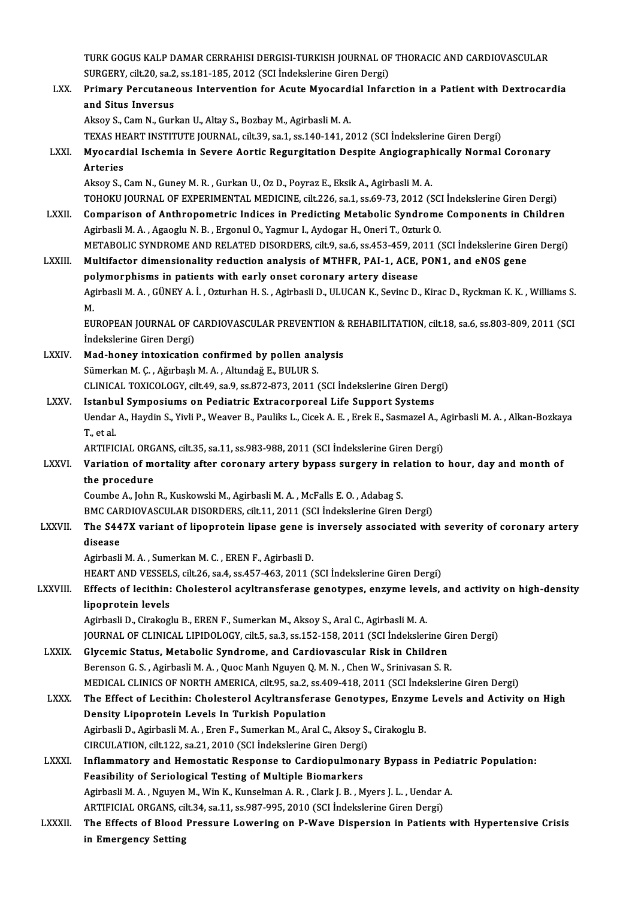TURK GOGUS KALP DAMAR CERRAHISI DERGISI-TURKISH JOURNAL OF THORACIC AND CARDIOVASCULAR<br>SURCERY silt 30, cs 3, cs 191 195, 3013 (SCLIndekalerine Ciren Dergi) TURK GOGUS KALP DAMAR CERRAHISI DERGISI-TURKISH JOURNAL OF<br>SURGERY, cilt.20, sa.2, ss.181-185, 2012 (SCI İndekslerine Giren Dergi)<br>Primany Barautanaous Interventian for Asute Myasardial Infor

TURK GOGUS KALP DAMAR CERRAHISI DERGISI-TURKISH JOURNAL OF THORACIC AND CARDIOVASCULAR<br>SURGERY, cilt.20, sa.2, ss.181-185, 2012 (SCI İndekslerine Giren Dergi)<br>LXX. Primary Percutaneous Intervention for Acute Myocardial Inf SURGERY, cilt.20, sa.2, ss.181-185, 2012 (SCI İndekslerine Giren Dergi)<br>Primary Percutaneous Intervention for Acute Myocardial Infarction in a Patient with Dextrocardia<br>and Situs Inversus Aksoy S., Cam N., Gurkan U., Altay S., Bozbay M., Agirbasli M. A. TEXAS HEART INSTITUTE JOURNAL, cilt.39, sa.1, ss.140-141, 2012 (SCI İndekslerine Giren Dergi) Aksoy S., Cam N., Gurkan U., Altay S., Bozbay M., Agirbasli M. A.<br>TEXAS HEART INSTITUTE JOURNAL, cilt.39, sa.1, ss.140-141, 2012 (SCI İndekslerine Giren Dergi)<br>LXXI. Myocardial Ischemia in Severe Aortic Regurgitation Despi TEXAS HE<br>Myocard<br>Arteries<br>Aksev S Myocardial Ischemia in Severe Aortic Regurgitation Despite Angiograph<br>Arteries<br>Aksoy S., Cam N., Guney M. R. , Gurkan U., Oz D., Poyraz E., Eksik A., Agirbasli M. A.<br>TOHOVILIOURNAL OF EXPERIMENTAL MEDICINE silt 226 ss 1, s Arteries<br>Aksoy S., Cam N., Guney M. R. , Gurkan U., Oz D., Poyraz E., Eksik A., Agirbasli M. A.<br>TOHOKU JOURNAL OF EXPERIMENTAL MEDICINE, cilt.226, sa.1, ss.69-73, 2012 (SCI İndekslerine Giren Dergi)<br>Comparison of Arthropom Aksoy S., Cam N., Guney M. R., Gurkan U., Oz D., Poyraz E., Eksik A., Agirbasli M. A.<br>TOHOKU JOURNAL OF EXPERIMENTAL MEDICINE, cilt.226, sa.1, ss.69-73, 2012 (SCI İndekslerine Giren Dergi)<br>LXXII. Comparison of Anthropometr TOHOKU JOURNAL OF EXPERIMENTAL MEDICINE, cilt.226, sa.1, ss.69-73, 2012 (SC.<br>Comparison of Anthropometric Indices in Predicting Metabolic Syndrome<br>Agirbasli M. A. , Agaoglu N. B. , Ergonul O., Yagmur I., Aydogar H., Oneri Comparison of Anthropometric Indices in Predicting Metabolic Syndrome Components in Children<br>Agirbasli M. A. , Agaoglu N. B. , Ergonul O., Yagmur I., Aydogar H., Oneri T., Ozturk O.<br>METABOLIC SYNDROME AND RELATED DISORDERS Agirbasli M. A. , Agaoglu N. B. , Ergonul O., Yagmur I., Aydogar H., Oneri T., Ozturk O.<br>METABOLIC SYNDROME AND RELATED DISORDERS, cilt.9, sa.6, ss.453-459, 2011 (SCI İndekslerine Gire<br>LXXIII. Multifactor dimensionality re METABOLIC SYNDROME AND RELATED DISORDERS, cilt.9, sa.6, ss.453-459, 20<br>Multifactor dimensionality reduction analysis of MTHFR, PAI-1, ACE,<br>polymorphisms in patients with early onset coronary artery disease<br>Agirbacli M.A., Multifactor dimensionality reduction analysis of MTHFR, PAI-1, ACE, PON1, and eNOS gene<br>polymorphisms in patients with early onset coronary artery disease<br>Agirbasli M. A. , GÜNEY A. İ. , Ozturhan H. S. , Agirbasli D., ULUC po<br>Ag<br>Eu Agirbasli M. A. , GÜNEY A. İ. , Ozturhan H. S. , Agirbasli D., ULUCAN K., Sevinc D., Kirac D., Ryckman K. K. , Williams S.<br>M.<br>EUROPEAN JOURNAL OF CARDIOVASCULAR PREVENTION & REHABILITATION, cilt.18, sa.6, ss.803-809, 2011 M.<br>EUROPEAN JOURNAL OF CARDIOVASCULAR PREVENTION & REHABILITATION, cilt.18, sa.6, ss.803-809, 2011 (SCI<br>İndekslerine Giren Dergi)

- EUROPEAN JOURNAL OF CARDIOVASCULAR PREVENTION &<br>
indekslerine Giren Dergi)<br>
LXXIV. Mad-honey intoxication confirmed by pollen analysis<br>
Sümerkan M. G. Ağurbaslı M. A. Altundağ E. BIJI UP S İndekslerine Giren Dergi)<br>Mad-honey intoxication confirmed by pollen ana<br>Sümerkan M. Ç. , Ağırbaşlı M. A. , Altundağ E., BULUR S.<br>CLINICAL TOXICOLOCY .cilt 49. sə 9. ss 872.972.2011 . Sümerkan M. Ç. , Ağırbaşlı M. A. , Altundağ E., BULUR S.<br>CLINICAL TOXICOLOGY, cilt.49, sa.9, ss.872-873, 2011 (SCI İndekslerine Giren Dergi) Sümerkan M. Ç. , Ağırbaşlı M. A. , Altundağ E., BULUR S.<br>CLINICAL TOXICOLOGY, cilt.49, sa.9, ss.872-873, 2011 (SCI İndekslerine Giren Der<br>LXXV. Istanbul Symposiums on Pediatric Extracorporeal Life Support Systems<br>Handar A.
- CLINICAL TOXICOLOGY, cilt.49, sa.9, ss.872-873, 2011 (SCI İndekslerine Giren Dergi)<br>Istanbul Symposiums on Pediatric Extracorporeal Life Support Systems<br>Uendar A., Haydin S., Yivli P., Weaver B., Pauliks L., Cicek A. E. , **Istanbi**<br>Uendar<br>T., et al.<br>APTIEIC Uendar A., Haydin S., Yivli P., Weaver B., Pauliks L., Cicek A. E. , Erek E., Sasmazel A., A<br>T., et al.<br>ARTIFICIAL ORGANS, cilt.35, sa.11, ss.983-988, 2011 (SCI İndekslerine Giren Dergi)<br>Variation of mortality ofter corona

ARTIFICIAL ORGANS, cilt 35, sa 11, ss 983-988, 2011 (SCI Indekslerine Giren Dergi)

T., et al.<br>ARTIFICIAL ORGANS, cilt.35, sa.11, ss.983-988, 2011 (SCI İndekslerine Giren Dergi)<br>LXXVI. Variation of mortality after coronary artery bypass surgery in relation to hour, day and month of<br>the procedure the procedure<br>Coumbe A., John R., Kuskowski M., Agirbasli M. A. , McFalls E. O. , Adabag S.<br>BMC CARDIOVASCULAR DISORDERS, cilt.11, 2011 (SCI İndekslerine Giren Dergi)<br>The S447Y yerinrt of linenretejn lineae gane iş inverse

Coumbe A., John R., Kuskowski M., Agirbasli M. A., McFalls E. O., Adabag S.

Coumbe A., John R., Kuskowski M., Agirbasli M. A. , McFalls E. O. , Adabag S.<br>BMC CARDIOVASCULAR DISORDERS, cilt.11, 2011 (SCI İndekslerine Giren Dergi)<br>LXXVII. The S447X variant of lipoprotein lipase gene is inversely ass BMC CAF<br>The S44<br>disease The S447X variant of lipoprotein lipase gene is<br>disease<br>Agirbasli M.A., Sumerkan M.C., EREN F., Agirbasli D.<br>HEAPT AND VESSELS, silt 26, so 4, ss 457, 462, 2011 ( disease<br>Agirbasli M. A. , Sumerkan M. C. , EREN F., Agirbasli D.<br>HEART AND VESSELS, cilt.26, sa.4, ss.457-463, 2011 (SCI İndekslerine Giren Dergi)<br>Effecta of lasithin: Chalastaral asyltranaforase genatynes, onguma lavala

Agirbasli M. A. , Sumerkan M. C. , EREN F., Agirbasli D.<br>HEART AND VESSELS, cilt.26, sa.4, ss.457-463, 2011 (SCI İndekslerine Giren Dergi)<br>LXXVIII. Effects of lecithin: Cholesterol acyltransferase genotypes, enzyme levels, HEART AND VESSEL<br>Effects of lecithin:<br>lipoprotein levels Effects of lecithin: Cholesterol acyltransferase genotypes, enzyme leve<br>lipoprotein levels<br>Agirbasli D., Cirakoglu B., EREN F., Sumerkan M., Aksoy S., Aral C., Agirbasli M. A.<br>JOUPMAL OF CLINICAL LIPIDOLOCY, silt 5, sp.3, lipoprotein levels<br>Agirbasli D., Cirakoglu B., EREN F., Sumerkan M., Aksoy S., Aral C., Agirbasli M. A.<br>JOURNAL OF CLINICAL LIPIDOLOGY, cilt.5, sa.3, ss.152-158, 2011 (SCI İndekslerine Giren Dergi)<br>Clysemis Status, Metabol

Agirbasli D., Cirakoglu B., EREN F., Sumerkan M., Aksoy S., Aral C., Agirbasli M. A.<br>JOURNAL OF CLINICAL LIPIDOLOGY, cilt.5, sa.3, ss.152-158, 2011 (SCI İndekslerine Gi<br>LXXIX. Glycemic Status, Metabolic Syndrome, and Cardi JOURNAL OF CLINICAL LIPIDOLOGY, cilt.5, sa.3, ss.152-158, 2011 (SCI İndekslerine Gi<br>Glycemic Status, Metabolic Syndrome, and Cardiovascular Risk in Children<br>Berenson G. S., Agirbasli M. A., Quoc Manh Nguyen Q. M. N., Chen Glycemic Status, Metabolic Syndrome, and Cardiovascular Risk in Children<br>Berenson G. S. , Agirbasli M. A. , Quoc Manh Nguyen Q. M. N. , Chen W., Srinivasan S. R.<br>MEDICAL CLINICS OF NORTH AMERICA, cilt.95, sa.2, ss.409-418, Berenson G. S. , Agirbasli M. A. , Quoc Manh Nguyen Q. M. N. , Chen W., Srinivasan S. R.<br>MEDICAL CLINICS OF NORTH AMERICA, cilt.95, sa.2, ss.409-418, 2011 (SCI İndekslerine Giren Dergi)<br>LXXX. The Effect of Lecithin: Choles

- MEDICAL CLINICS OF NORTH AMERICA, cilt.95, sa.2, ss.46<br>The Effect of Lecithin: Cholesterol Acyltransferase<br>Density Lipoprotein Levels In Turkish Population<br>Agirbacli D. Agirbacli M. A. Fron E. Sumorkan M. Aral C The Effect of Lecithin: Cholesterol Acyltransferase Genotypes, Enzyme<br>Density Lipoprotein Levels In Turkish Population<br>Agirbasli D., Agirbasli M. A. , Eren F., Sumerkan M., Aral C., Aksoy S., Cirakoglu B.<br>CIRCULATION silt Density Lipoprotein Levels In Turkish Population<br>Agirbasli D., Agirbasli M. A., Eren F., Sumerkan M., Aral C., Aksoy S., Cirakoglu B.
- Agirbasli D., Agirbasli M. A., Eren F., Sumerkan M., Aral C., Aksoy S., Cirakoglu B.<br>CIRCULATION, cilt.122, sa.21, 2010 (SCI İndekslerine Giren Dergi)<br>LXXXI. Inflammatory and Hemostatic Response to Cardiopulmonary Bypass i CIRCULATION, cilt.122, sa.21, 2010 (SCI İndekslerine Giren Dergi)<br>Inflammatory and Hemostatic Response to Cardiopulmonary Bypass in Pedi<br>Feasibility of Seriological Testing of Multiple Biomarkers<br>Agirbasli M. A. , Nguyen M Inflammatory and Hemostatic Response to Cardiopulmonary Bypass in Pedi<br>Feasibility of Seriological Testing of Multiple Biomarkers<br>Agirbasli M. A. , Nguyen M., Win K., Kunselman A. R. , Clark J. B. , Myers J. L. , Uendar A. Feasibility of Seriological Testing of Multiple Biomarkers<br>Agirbasli M. A. , Nguyen M., Win K., Kunselman A. R. , Clark J. B. , Myers J. L. , Uendar ,<br>ARTIFICIAL ORGANS, cilt.34, sa.11, ss.987-995, 2010 (SCI İndekslerine G
- LXXXII. The Effects of Blood Pressure Lowering on P-Wave Dispersion in Patients with Hypertensive Crisis in Emergency Setting ARTIFICIAL ORGANS, ci<br>The Effects of Blood<br>in Emergency Setting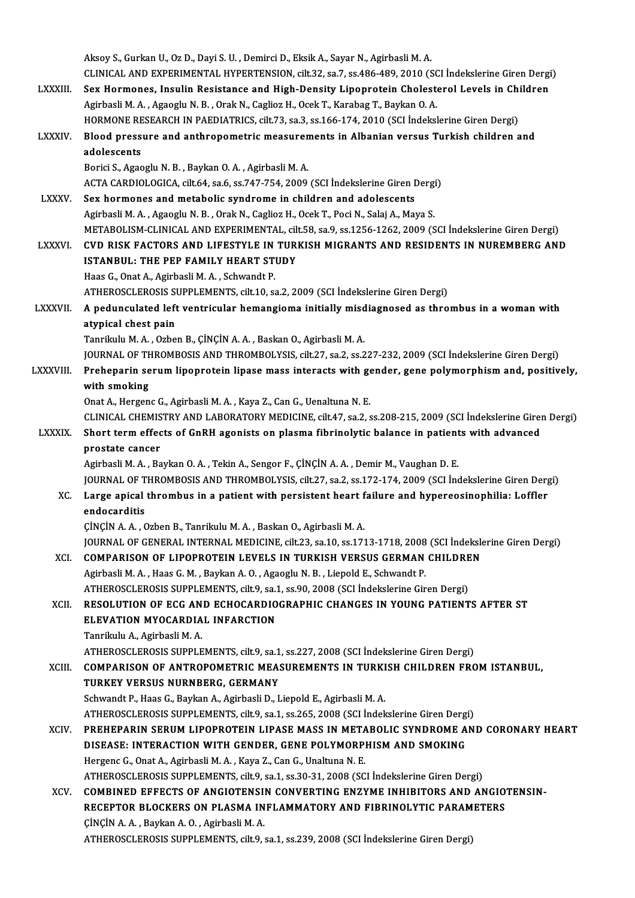Aksoy S.,GurkanU.,OzD.,DayiS.U. ,DemirciD.,EksikA.,SayarN.,AgirbasliM.A. Aksoy S., Gurkan U., Oz D., Dayi S. U. , Demirci D., Eksik A., Sayar N., Agirbasli M. A.<br>CLINICAL AND EXPERIMENTAL HYPERTENSION, cilt.32, sa.7, ss.486-489, 2010 (SCI İndekslerine Giren Dergi)<br>Sex Hermanes, İngulin Besistan Aksoy S., Gurkan U., Oz D., Dayi S. U. , Demirci D., Eksik A., Sayar N., Agirbasli M. A.<br>CLINICAL AND EXPERIMENTAL HYPERTENSION, cilt.32, sa.7, ss.486-489, 2010 (SCI İndekslerine Giren Dergi<br>LXXXIII. Sex Hormones, Insulin CLINICAL AND EXPERIMENTAL HYPERTENSION, cilt.32, sa.7, ss.486-489, 2010 (SC<br>Sex Hormones, Insulin Resistance and High-Density Lipoprotein Cholest<br>Agirbasli M. A. , Agaoglu N. B. , Orak N., Caglioz H., Ocek T., Karabag T., Sex Hormones, Insulin Resistance and High-Density Lipoprotein Cholesterol Levels in Chi<br>Agirbasli M. A. , Agaoglu N. B. , Orak N., Caglioz H., Ocek T., Karabag T., Baykan O. A.<br>HORMONE RESEARCH IN PAEDIATRICS, cilt.73, sa. Agirbasli M. A. , Agaoglu N. B. , Orak N., Caglioz H., Ocek T., Karabag T., Baykan O. A.<br>HORMONE RESEARCH IN PAEDIATRICS, cilt.73, sa.3, ss.166-174, 2010 (SCI İndekslerine Giren Dergi)<br>LXXXIV. Blood pressure and anthropome HORMONE RE<br>Blood press<br>adolescents<br>Porisi S. Agos Blood pressure and anthropometric measuren<br>adolescents<br>Borici S., Agaoglu N.B. , Baykan O.A. , Agirbasli M.A.<br>ACTA CARDIOLOCICA silt 64, sa 6, ss 747,754, 2009. adolescents<br>Borici S., Agaoglu N. B. , Baykan O. A. , Agirbasli M. A.<br>ACTA CARDIOLOGICA, cilt.64, sa.6, ss.747-754, 2009 (SCI İndekslerine Giren Dergi)<br>Sex, bermenes and metebelis syndreme in shildren and adelessents Borici S., Agaoglu N. B. , Baykan O. A. , Agirbasli M. A.<br>ACTA CARDIOLOGICA, cilt.64, sa.6, ss.747-754, 2009 (SCI İndekslerine Giren Dergi<br>LXXXV. Sex hormones and metabolic syndrome in children and adolescents<br>Agirbasli M. ACTA CARDIOLOGICA, cilt.64, sa.6, ss.747-754, 2009 (SCI İndekslerine Giren Dergi<br>Sex hormones and metabolic syndrome in children and adolescents<br>Agirbasli M. A. , Agaoglu N. B. , Orak N., Caglioz H., Ocek T., Poci N., Sala Sex hormones and metabolic syndrome in children and adolescents<br>Agirbasli M. A. , Agaoglu N. B. , Orak N., Caglioz H., Ocek T., Poci N., Salaj A., Maya S.<br>METABOLISM-CLINICAL AND EXPERIMENTAL, cilt.58, sa.9, ss.1256-1262, Agirbasli M. A. , Agaoglu N. B. , Orak N., Caglioz H., Ocek T., Poci N., Salaj A., Maya S.<br>METABOLISM-CLINICAL AND EXPERIMENTAL, cilt.58, sa.9, ss.1256-1262, 2009 (SCI İndekslerine Giren Dergi)<br>LXXXVI. CVD RISK FACTORS AND METABOLISM-CLINICAL AND EXPERIMENTAL, cil<br>CVD RISK FACTORS AND LIFESTYLE IN TUR<br>ISTANBUL: THE PEP FAMILY HEART STUDY<br>Heas Conat Aodirhasli Mode Schuandt P CVD RISK FACTORS AND LIFESTYLE IN TURKISH MIGRANTS AND RESIDENTS IN NUREMBERG AND ISTANBUL: THE PEP FAMILY HEART STUDY<br>Haas G., Onat A., Agirbasli M. A. , Schwandt P. **ISTANBUL: THE PEP FAMILY HEART STUDY<br>Haas G., Onat A., Agirbasli M. A. , Schwandt P.<br>ATHEROSCLEROSIS SUPPLEMENTS, cilt.10, sa.2, 2009 (SCI İndekslerine Giren Dergi)<br>A nodungulated left yontrigular hemangiama initially mis** LXXXVII. A pedunculated left ventricular hemangioma initially misdiagnosed as thrombus in a woman with atypical chest pain ATHEROSCLEROSIS S<br>A pedunculated left<br>atypical chest pain<br>Tanrilulu M A - Orbe Tanrikulu M.A., Ozben B., ÇİNÇİN A.A., Baskan O., Agirbasli M.A. <mark>atypical chest pain</mark><br>Tanrikulu M. A. , Ozben B., ÇİNÇİN A. A. , Baskan O., Agirbasli M. A.<br>JOURNAL OF THROMBOSIS AND THROMBOLYSIS, cilt.27, sa.2, ss.227-232, 2009 (SCI İndekslerine Giren Dergi)<br>Prehanarin sanum linanratai LXXXVIII. Preheparin serum lipoprotein lipase mass interacts with gender, gene polymorphism and, positively,<br>with smoking JOURNAL OF TH<br>Preheparin se<br>with smoking<br>Onat A. Hergen Onat A., Hergenc G., Agirbasli M. A., Kaya Z., Can G., Uenaltuna N. E. with smoking<br>Onat A., Hergenc G., Agirbasli M. A. , Kaya Z., Can G., Uenaltuna N. E.<br>CLINICAL CHEMISTRY AND LABORATORY MEDICINE, cilt.47, sa.2, ss.208-215, 2009 (SCI İndekslerine Giren Dergi)<br>Shart term effects of CRBH ago Onat A., Hergenc G., Agirbasli M. A. , Kaya Z., Can G., Uenaltuna N. E.<br>CLINICAL CHEMISTRY AND LABORATORY MEDICINE, cilt.47, sa.2, ss.208-215, 2009 (SCI İndekslerine Girents with advanced<br>LXXXIX. Short term effects of GnRH CLINICAL CHEMIS<br>Short term effec<br>prostate cancer<br>Agirbasli M.A., Po Short term effects of GnRH agonists on plasma fibrinolytic balance in patients with advanced<br>prostate cancer<br>Agirbasli M.A. , Baykan O.A. , Tekin A., Sengor F., ÇİNÇİN A.A. , Demir M., Vaughan D. E. JOURNAL OF THROMBOSIS AND THROMBOLYSIS, cilt.27, sa.2, ss.172-174, 2009 (SCI İndekslerine Giren Dergi) Agirbasli M. A., Baykan O. A., Tekin A., Sengor F., ÇİNÇİN A. A., Demir M., Vaughan D. E.<br>JOURNAL OF THROMBOSIS AND THROMBOLYSIS, cilt.27, sa.2, ss.172-174, 2009 (SCI İndekslerine Giren Derg<br>XC. Large apical thrombus in a **JOURNAL OF T<br>Large apical<br>endocarditis<br>CINCIN A A C** Large apical thrombus in a patient with persistent heart f<br>endocarditis<br>ÇİNÇİN A. A. , Ozben B., Tanrikulu M. A. , Baskan O., Agirbasli M. A.<br>JOUDNAL OE CENERAL INTERNAL MEDICINE silt 22, se 10, se 17. endocarditis<br>ÇİNÇİN A. A. , Ozben B., Tanrikulu M. A. , Baskan O., Agirbasli M. A.<br>JOURNAL OF GENERAL INTERNAL MEDICINE, cilt.23, sa.10, ss.1713-1718, 2008 (SCI İndekslerine Giren Dergi)<br>COMRARISON OF LIRORROTEIN LEVELS IN CINCIN A. A., Ozben B., Tanrikulu M. A., Baskan O., Agirbasli M. A.<br>JOURNAL OF GENERAL INTERNAL MEDICINE, cilt.23, sa.10, ss.1713-1718, 2008 (SCI Indeksle<br>XCI. COMPARISON OF LIPOPROTEIN LEVELS IN TURKISH VERSUS GERMAN CHIL JOURNAL OF GENERAL INTERNAL MEDICINE, cilt.23, sa.10, ss.1713-1718, 2008<br>COMPARISON OF LIPOPROTEIN LEVELS IN TURKISH VERSUS GERMAN<br>Agirbasli M. A. , Haas G. M. , Baykan A. O. , Agaoglu N. B. , Liepold E., Schwandt P.<br>ATHEP COMPARISON OF LIPOPROTEIN LEVELS IN TURKISH VERSUS GERMAN CHILDRE<br>Agirbasli M. A. , Haas G. M. , Baykan A. O. , Agaoglu N. B. , Liepold E., Schwandt P.<br>ATHEROSCLEROSIS SUPPLEMENTS, cilt.9, sa.1, ss.90, 2008 (SCI İndeksleri Agirbasli M. A. , Haas G. M. , Baykan A. O. , Agaoglu N. B. , Liepold E., Schwandt P.<br>ATHEROSCLEROSIS SUPPLEMENTS, cilt.9, sa.1, ss.90, 2008 (SCI İndekslerine Giren Dergi)<br>XCII. RESOLUTION OF ECG AND ECHOCARDIOGRAPHIC CHAN ATHEROSCLEROSIS SUPPLEMENTS, cilt.9, sa.1<br>RESOLUTION OF ECG AND ECHOCARDIO<br>ELEVATION MYOCARDIAL INFARCTION<br>Tanrilath A Agirbacli M A RESOLUTION OF ECG AND ECHOCARDIOGRAPHIC CHANGES IN YOUNG PATIENTS AFTER ST<br>ELEVATION MYOCARDIAL INFARCTION<br>Tanrikulu A., Agirbasli M. A. ATHEROSCLEROSIS SUPPLEMENTS, cilt.9, sa.1, ss.227,2008 (SCI İndekslerineGirenDergi) Tanrikulu A., Agirbasli M. A.<br>ATHEROSCLEROSIS SUPPLEMENTS, cilt.9, sa.1, ss.227, 2008 (SCI İndekslerine Giren Dergi)<br>XCIII. COMPARISON OF ANTROPOMETRIC MEASUREMENTS IN TURKISH CHILDREN FROM ISTANBUL,<br>TIIRKEY VERSIIS NI ATHEROSCLEROSIS SUPPLEMENTS, cilt.9, sa.1<br>COMPARISON OF ANTROPOMETRIC MEA:<br>TURKEY VERSUS NURNBERG, GERMANY<br>Sebuandt B. Haas G. Baukan A. Agirbasli D. J. TURKEY VERSUS NURNBERG, GERMANY<br>Schwandt P., Haas G., Baykan A., Agirbasli D., Liepold E., Agirbasli M. A. TURKEY VERSUS NURNBERG, GERMANY<br>Schwandt P., Haas G., Baykan A., Agirbasli D., Liepold E., Agirbasli M. A.<br>ATHEROSCLEROSIS SUPPLEMENTS, cilt.9, sa.1, ss.265, 2008 (SCI İndekslerine Giren Dergi)<br>PREHERARIN SERIIM LIRORROTEI Schwandt P., Haas G., Baykan A., Agirbasli D., Liepold E., Agirbasli M. A.<br>ATHEROSCLEROSIS SUPPLEMENTS, cilt.9, sa.1, ss.265, 2008 (SCI İndekslerine Giren Dergi)<br>XCIV. PREHEPARIN SERUM LIPOPROTEIN LIPASE MASS IN METABOLIC ATHEROSCLEROSIS SUPPLEMENTS, cilt.9, sa.1, ss.265, 2008 (SCI Indekslerine Giren Derg<br>PREHEPARIN SERUM LIPOPROTEIN LIPASE MASS IN METABOLIC SYNDROME A<br>DISEASE: INTERACTION WITH GENDER, GENE POLYMORPHISM AND SMOKING<br>Harsons PREHEPARIN SERUM LIPOPROTEIN LIPASE MASS IN META<br>DISEASE: INTERACTION WITH GENDER, GENE POLYMORP!<br>Hergenc G., Onat A., Agirbasli M. A. , Kaya Z., Can G., Unaltuna N. E.<br>ATHEPOSCI EPOSIS SUPPLEMENTS silt 0, 20.1, 20.20.21, DISEASE: INTERACTION WITH GENDER, GENE POLYMORPHISM AND SMOKING<br>Hergenc G., Onat A., Agirbasli M. A. , Kaya Z., Can G., Unaltuna N. E.<br>ATHEROSCLEROSIS SUPPLEMENTS, cilt.9, sa.1, ss.30-31, 2008 (SCI İndekslerine Giren Dergi Hergenc G., Onat A., Agirbasli M. A. , Kaya Z., Can G., Unaltuna N. E.<br>ATHEROSCLEROSIS SUPPLEMENTS, cilt.9, sa.1, ss.30-31, 2008 (SCI İndekslerine Giren Dergi)<br>XCV. COMBINED EFFECTS OF ANGIOTENSIN CONVERTING ENZYME INHIBIT ATHEROSCLEROSIS SUPPLEMENTS, cilt.9, sa.1, ss.30-31, 2008 (SCI İndekslerine Giren Dergi)<br>COMBINED EFFECTS OF ANGIOTENSIN CONVERTING ENZYME INHIBITORS AND ANGIO'<br>RECEPTOR BLOCKERS ON PLASMA INFLAMMATORY AND FIBRINOLYTIC PAR COMBINED EFFECTS OF ANGIOTENSI<br>RECEPTOR BLOCKERS ON PLASMA IN<br>CINCINA.A., Baykan A.O., Agirbasli M.A. RECEPTOR BLOCKERS ON PLASMA INFLAMMATORY AND FIBRINOLYTIC PARAMETERS<br>ÇİNÇİN A. A. , Baykan A. O. , Agirbasli M. A.<br>ATHEROSCLEROSIS SUPPLEMENTS, cilt.9, sa.1, ss.239, 2008 (SCI İndekslerine Giren Dergi)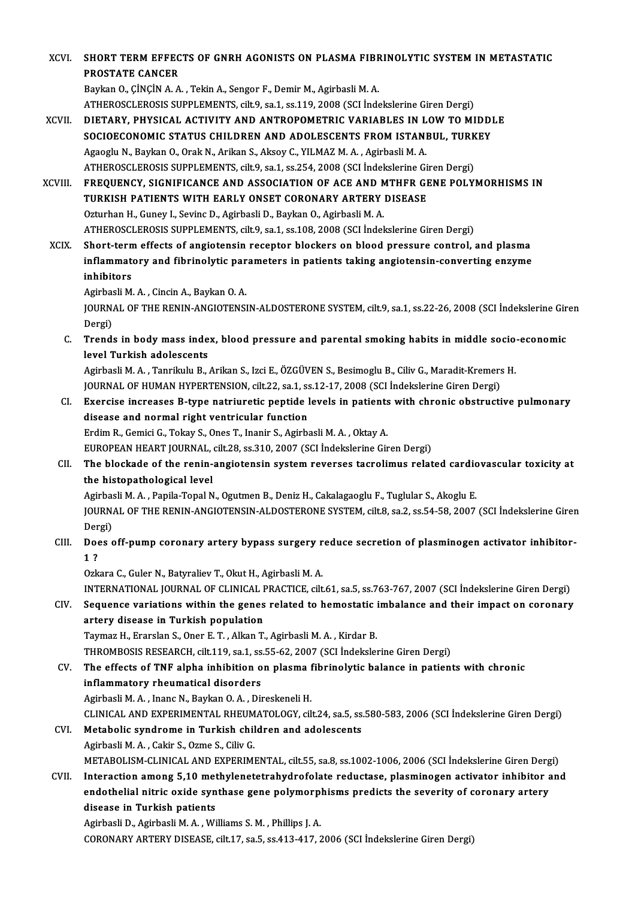XCVI. SHORT TERM EFFECTS OF GNRH AGONISTS ON PLASMA FIBRINOLYTIC SYSTEM IN METASTATIC SHORT TERM EFFEC<br>PROSTATE CANCER<br>Paylan O. C<sup>INCIN A.A</sup> PROSTATE CANCER<br>Baykan O., ÇİNÇİN A. A. , Tekin A., Sengor F., Demir M., Agirbasli M. A.

- ATHEROSCLEROSIS SUPPLEMENTS, cilt.9, sa.1, ss.119,2008 (SCI İndekslerineGirenDergi)
- XCVII. DIETARY, PHYSICAL ACTIVITY AND ANTROPOMETRIC VARIABLES IN LOW TO MIDDLE ATHEROSCLEROSIS SUPPLEMENTS, cilt.9, sa.1, ss.119, 2008 (SCI İndekslerine Giren Dergi)<br>DIETARY, PHYSICAL ACTIVITY AND ANTROPOMETRIC VARIABLES IN LOW TO MIDD!<br>SOCIOECONOMIC STATUS CHILDREN AND ADOLESCENTS FROM ISTANBUL, TUR DIETARY, PHYSICAL ACTIVITY AND ANTROPOMETRIC VARIABLES IN L<br>SOCIOECONOMIC STATUS CHILDREN AND ADOLESCENTS FROM ISTANI<br>Agaoglu N., Baykan O., Orak N., Arikan S., Aksoy C., YILMAZ M. A. , Agirbasli M. A.<br>ATHEROSCI EROSIS SUR SOCIOECONOMIC STATUS CHILDREN AND ADOLESCENTS FROM ISTANBUL, TURK<br>Agaoglu N., Baykan O., Orak N., Arikan S., Aksoy C., YILMAZ M. A. , Agirbasli M. A.<br>ATHEROSCLEROSIS SUPPLEMENTS, cilt.9, sa.1, ss.254, 2008 (SCI İndekslerin Agaoglu N., Baykan O., Orak N., Arikan S., Aksoy C., YILMAZ M. A. , Agirbasli M. A.<br>ATHEROSCLEROSIS SUPPLEMENTS, cilt.9, sa.1, ss.254, 2008 (SCI İndekslerine Giren Dergi)<br>XCVIII. FREQUENCY, SIGNIFICANCE AND ASSOCIATION

ATHEROSCLEROSIS SUPPLEMENTS, cilt.9, sa.1, ss.254, 2008 (SCI İndekslerine Gi<br>FREQUENCY, SIGNIFICANCE AND ASSOCIATION OF ACE AND MTHFR GI<br>TURKISH PATIENTS WITH EARLY ONSET CORONARY ARTERY DISEASE<br>Ozturban H. Cunov L. Sovine FREQUENCY, SIGNIFICANCE AND ASSOCIATION OF ACE AND N<br>TURKISH PATIENTS WITH EARLY ONSET CORONARY ARTERY<br>Ozturhan H., Guney I., Sevinc D., Agirbasli D., Baykan O., Agirbasli M.A.<br>ATHEROSCI EROSIS SURPLEMENTS sitt 0 so 1 so 1 TURKISH PATIENTS WITH EARLY ONSET CORONARY ARTERY DISEASE<br>Ozturhan H., Guney I., Sevinc D., Agirbasli D., Baykan O., Agirbasli M. A.<br>ATHEROSCLEROSIS SUPPLEMENTS, cilt.9, sa.1, ss.108, 2008 (SCI İndekslerine Giren Dergi)

XCIX. Short-termeffects of angiotensin receptor blockers on blood pressure control, and plasma ATHEROSCLEROSIS SUPPLEMENTS, cilt.9, sa.1, ss.108, 2008 (SCI İndekslerine Giren Dergi)<br>Short-term effects of angiotensin receptor blockers on blood pressure control, and plasma<br>inflammatory and fibrinolytic parameters in p Short-tern<br>inflammate<br>inhibitors<br>Agirbasli M i<mark>nflammatory and fibrinolytic par</mark><br>inhibitors<br>Agirbasli M. A. , Cincin A., Baykan O. A.<br>JOUPNAL OF THE PENIN ANCIOTENS i<mark>nhibitors</mark><br>Agirbasli M. A. , Cincin A., Baykan O. A.<br>JOURNAL OF THE RENIN-ANGIOTENSIN-ALDOSTERONE SYSTEM, cilt.9, sa.1, ss.22-26, 2008 (SCI İndekslerine Giren

Dergi) JOURNAL OF THE RENIN-ANGIOTENSIN-ALDOSTERONE SYSTEM, cilt.9, sa.1, ss.22-26, 2008 (SCI İndekslerine Gir<br>Dergi)<br>C. Trends in body mass index, blood pressure and parental smoking habits in middle socio-economic<br>level Turkish

Dergi)<br>Trends in body mass inde<br>level Turkish adolescents<br>Agirbasli M.A. Tenrilulu P Trends in body mass index, blood pressure and parental smoking habits in middle socio<mark>l</mark><br>level Turkish adolescents<br>Agirbasli M. A. , Tanrikulu B., Arikan S., Izci E., ÖZGÜVEN S., Besimoglu B., Ciliv G., Maradit-Kremers H.<br>

level Turkish adolescents<br>Agirbasli M. A. , Tanrikulu B., Arikan S., Izci E., ÖZGÜVEN S., Besimoglu B., Ciliv G., Maradit-Kremers H.<br>JOURNAL OF HUMAN HYPERTENSION, cilt.22, sa.1, ss.12-17, 2008 (SCI İndekslerine Giren Derg Agirbasli M. A. , Tanrikulu B., Arikan S., Izci E., ÖZGÜVEN S., Besimoglu B., Ciliv G., Maradit-Kremers H.<br>JOURNAL OF HUMAN HYPERTENSION, cilt.22, sa.1, ss.12-17, 2008 (SCI İndekslerine Giren Dergi)<br>CI. Exercise increases

disease and normal right ventricular function<br>Erdim R., Gemici G., Tokay S., Ones T., Inanir S., Agirbasli M. A., Oktay A. Exercise increases B-type natriuretic peptide levels in patients<br>disease and normal right ventricular function<br>Erdim R., Gemici G., Tokay S., Ones T., Inanir S., Agirbasli M.A. , Oktay A.<br>EUROPEAN HEAPT JOURNAL si<sup>11, 29</sup>, disease and normal right ventricular function<br>Erdim R., Gemici G., Tokay S., Ones T., Inanir S., Agirbasli M. A. , Oktay A.<br>EUROPEAN HEART JOURNAL, cilt.28, ss.310, 2007 (SCI İndekslerine Giren Dergi)<br>The blaskade of the r

# CII. The blockade of the renin-angiotensin system reverses tacrolimus related cardiovascular toxicity at the histopathological level EUROPEAN HEART JOURNAL,<br>The blockade of the renin-<br>the histopathological level The blockade of the renin-angiotensin system reverses tacrolimus related cardic<br>the histopathological level<br>Agirbasli M. A. , Papila-Topal N., Ogutmen B., Deniz H., Cakalagaoglu F., Tuglular S., Akoglu E.<br>JOUPMAL OF THE RE

JOURNAL OF THE RENIN-ANGIOTENSIN-ALDOSTERONE SYSTEM, cilt.8, sa.2, ss.54-58, 2007 (SCI İndekslerine Giren<br>Dergi) Agirbas<br>JOURN<br>Dergi)<br>Dees JOURNAL OF THE RENIN-ANGIOTENSIN-ALDOSTERONE SYSTEM, cilt.8, sa.2, ss.54-58, 2007 (SCI İndekslerine Girer<br>Dergi)<br>CIII. Does off-pump coronary artery bypass surgery reduce secretion of plasminogen activator inhibitor-

# Der<br>Doe<br>1 ? Does off-pump coronary artery bypass surgery r<br>1 ?<br>Ozkara C., Guler N., Batyraliev T., Okut H., Agirbasli M. A.<br>INTERNATIONAL JOURNAL OF GLINICAL PRACTICE silt 1 ?<br>Ozkara C., Guler N., Batyraliev T., Okut H., Agirbasli M. A.<br>INTERNATIONAL JOURNAL OF CLINICAL PRACTICE, cilt.61, sa.5, ss.763-767, 2007 (SCI İndekslerine Giren Dergi)<br>Seguence variatione within the genee related to ho

Ozkara C., Guler N., Batyraliev T., Okut H., Agirbasli M. A.<br>INTERNATIONAL JOURNAL OF CLINICAL PRACTICE, cilt.61, sa.5, ss.763-767, 2007 (SCI İndekslerine Giren Dergi)<br>CIV. Sequence variations within the genes related to h INTERNATIONAL JOURNAL OF CLINICAL F<br>Sequence variations within the genes<br>artery disease in Turkish population<br>Taymaz H. Erarclan S. Oner E.T., Alkan T. Sequence variations within the genes related to hemostatic imbalance and their impact on coronary<br>artery disease in Turkish population<br>Taymaz H., Erarslan S., Oner E. T. , Alkan T., Agirbasli M. A. , Kirdar B. artery disease in Turkish population<br>Taymaz H., Erarslan S., Oner E. T. , Alkan T., Agirbasli M. A. , Kirdar B.<br>THROMBOSIS RESEARCH, cilt.119, sa.1, ss.55-62, 2007 (SCI İndekslerine Giren Dergi)<br>The effects of TNE alpha in

### CV. The effects of TNF alpha inhibition on plasma fibrinolytic balance in patients with chronic THROMBOSIS RESEARCH, cilt.119, sa.1, ss<br>The effects of TNF alpha inhibition of<br>inflammatory rheumatical disorders AgirbasliM.A. , InancN.,BaykanO.A. ,DireskeneliH. i<mark>nflammatory rheumatical disorders</mark><br>Agirbasli M. A. , Inanc N., Baykan O. A. , Direskeneli H.<br>CLINICAL AND EXPERIMENTAL RHEUMATOLOGY, cilt.24, sa.5, ss.580-583, 2006 (SCI İndekslerine Giren Dergi)<br>Metabolis sundroma in Tu

CVI. Metabolic syndrome in Turkish children and adolescents CLINICAL AND EXPERIMENTAL RHEUM<br>Metabolic syndrome in Turkish chil<br>Agirbasli M. A. , Cakir S., Ozme S., Ciliv G.<br>METABOLISM CLINICAL AND EXPERIMI Metabolic syndrome in Turkish children and adolescents<br>Agirbasli M. A. , Cakir S., Ozme S., Ciliv G.<br>METABOLISM-CLINICAL AND EXPERIMENTAL, cilt.55, sa.8, ss.1002-1006, 2006 (SCI İndekslerine Giren Dergi)<br>Interaction amena

CVII. Interaction among 5,10 methylenetetrahydrofolate reductase, plasminogen activator inhibitor and METABOLISM-CLINICAL AND EXPERIMENTAL, cilt.55, sa.8, ss.1002-1006, 2006 (SCI İndekslerine Giren Derg<br>Interaction among 5,10 methylenetetrahydrofolate reductase, plasminogen activator inhibitor a<br>endothelial nitric oxide sy Interaction among 5,10 met<br>endothelial nitric oxide syn<br>disease in Turkish patients endothelial nitric oxide synthase gene polymorp<br>disease in Turkish patients<br>Agirbasli D., Agirbasli M. A. , Williams S. M. , Phillips J. A.<br>CORONARY ARTERY DISEASE, 811.1.7, 89.5, 89.41.3, 41.7, 5

disease in Turkish patients<br>Agirbasli D., Agirbasli M. A. , Williams S. M. , Phillips J. A.<br>CORONARY ARTERY DISEASE, cilt.17, sa.5, ss.413-417, 2006 (SCI İndekslerine Giren Dergi)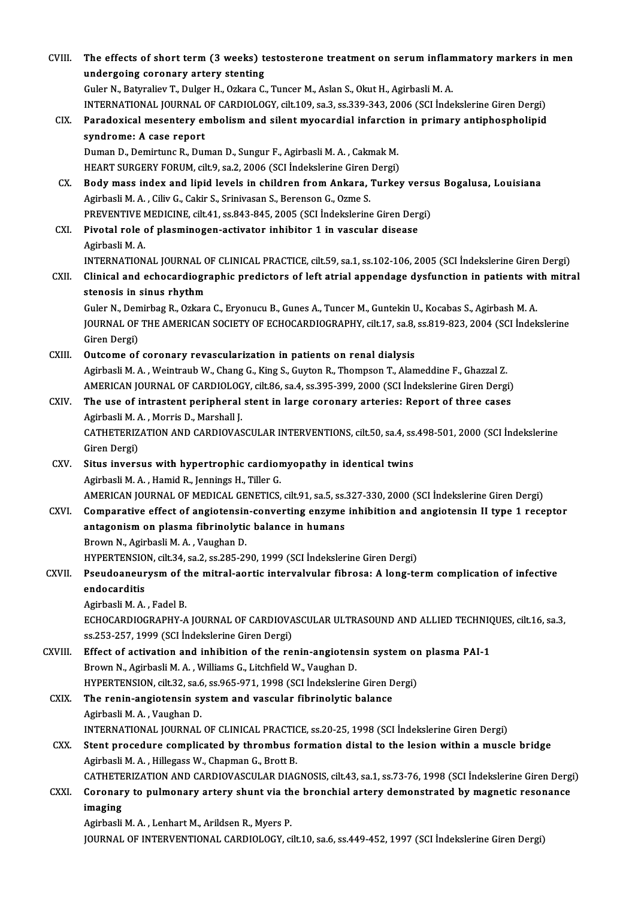| CVIII.  | The effects of short term (3 weeks) testosterone treatment on serum inflammatory markers in men             |
|---------|-------------------------------------------------------------------------------------------------------------|
|         | undergoing coronary artery stenting                                                                         |
|         | Guler N., Batyraliev T., Dulger H., Ozkara C., Tuncer M., Aslan S., Okut H., Agirbasli M. A.                |
|         | INTERNATIONAL JOURNAL OF CARDIOLOGY, cilt.109, sa.3, ss.339-343, 2006 (SCI İndekslerine Giren Dergi)        |
| CIX.    | Paradoxical mesentery embolism and silent myocardial infarction in primary antiphospholipid                 |
|         | syndrome: A case report                                                                                     |
|         | Duman D., Demirtunc R., Duman D., Sungur F., Agirbasli M. A., Cakmak M.                                     |
|         | HEART SURGERY FORUM, cilt.9, sa.2, 2006 (SCI İndekslerine Giren Dergi)                                      |
| CX.     | Body mass index and lipid levels in children from Ankara, Turkey versus Bogalusa, Louisiana                 |
|         | Agirbasli M. A., Ciliv G., Cakir S., Srinivasan S., Berenson G., Ozme S.                                    |
|         | PREVENTIVE MEDICINE, cilt.41, ss.843-845, 2005 (SCI İndekslerine Giren Dergi)                               |
| CXI.    | Pivotal role of plasminogen-activator inhibitor 1 in vascular disease                                       |
|         | Agirbasli M.A.                                                                                              |
|         | INTERNATIONAL JOURNAL OF CLINICAL PRACTICE, cilt.59, sa.1, ss.102-106, 2005 (SCI İndekslerine Giren Dergi)  |
| CXII.   | Clinical and echocardiographic predictors of left atrial appendage dysfunction in patients with mitral      |
|         | stenosis in sinus rhythm                                                                                    |
|         | Guler N., Demirbag R., Ozkara C., Eryonucu B., Gunes A., Tuncer M., Guntekin U., Kocabas S., Agirbash M. A. |
|         | JOURNAL OF THE AMERICAN SOCIETY OF ECHOCARDIOGRAPHY, cilt.17, sa.8, ss.819-823, 2004 (SCI Indekslerine      |
|         | Giren Dergi)                                                                                                |
| CXIII.  | Outcome of coronary revascularization in patients on renal dialysis                                         |
|         | Agirbasli M. A., Weintraub W., Chang G., King S., Guyton R., Thompson T., Alameddine F., Ghazzal Z.         |
|         | AMERICAN JOURNAL OF CARDIOLOGY, cilt.86, sa.4, ss.395-399, 2000 (SCI İndekslerine Giren Dergi)              |
| CXIV.   | The use of intrastent peripheral stent in large coronary arteries: Report of three cases                    |
|         | Agirbasli M. A., Morris D., Marshall J.                                                                     |
|         | CATHETERIZATION AND CARDIOVASCULAR INTERVENTIONS, cilt.50, sa.4, ss.498-501, 2000 (SCI İndekslerine         |
|         | Giren Dergi)                                                                                                |
| CXV.    | Situs inversus with hypertrophic cardiomyopathy in identical twins                                          |
|         | Agirbasli M. A., Hamid R., Jennings H., Tiller G.                                                           |
|         | AMERICAN JOURNAL OF MEDICAL GENETICS, cilt.91, sa.5, ss.327-330, 2000 (SCI İndekslerine Giren Dergi)        |
| CXVI.   | Comparative effect of angiotensin-converting enzyme inhibition and angiotensin II type 1 receptor           |
|         | antagonism on plasma fibrinolytic balance in humans                                                         |
|         | Brown N., Agirbasli M. A., Vaughan D.                                                                       |
|         | HYPERTENSION, cilt.34, sa.2, ss.285-290, 1999 (SCI Indekslerine Giren Dergi)                                |
| CXVII.  | Pseudoaneurysm of the mitral-aortic intervalvular fibrosa: A long-term complication of infective            |
|         | endocarditis                                                                                                |
|         | Agirbasli M. A., Fadel B.                                                                                   |
|         | ECHOCARDIOGRAPHY-A JOURNAL OF CARDIOVASCULAR ULTRASOUND AND ALLIED TECHNIQUES, cilt.16, sa.3,               |
|         | ss.253-257, 1999 (SCI İndekslerine Giren Dergi)                                                             |
| CXVIII. | Effect of activation and inhibition of the renin-angiotensin system on plasma PAI-1                         |
|         | Brown N., Agirbasli M. A., Williams G., Litchfield W., Vaughan D.                                           |
|         | HYPERTENSION, cilt.32, sa.6, ss.965-971, 1998 (SCI İndekslerine Giren Dergi)                                |
| CXIX.   | The renin-angiotensin system and vascular fibrinolytic balance                                              |
|         | Agirbasli M A , Vaughan D                                                                                   |
|         | INTERNATIONAL JOURNAL OF CLINICAL PRACTICE, ss.20-25, 1998 (SCI İndekslerine Giren Dergi)                   |
| CXX.    | Stent procedure complicated by thrombus formation distal to the lesion within a muscle bridge               |
|         | Agirbasli M. A., Hillegass W., Chapman G., Brott B.                                                         |
|         | CATHETERIZATION AND CARDIOVASCULAR DIAGNOSIS, cilt.43, sa.1, ss.73-76, 1998 (SCI İndekslerine Giren Dergi)  |
| CXXI.   | Coronary to pulmonary artery shunt via the bronchial artery demonstrated by magnetic resonance              |
|         | imaging                                                                                                     |
|         | Agirbasli M. A., Lenhart M., Arildsen R., Myers P.                                                          |
|         | JOURNAL OF INTERVENTIONAL CARDIOLOGY, cilt.10, sa.6, ss.449-452, 1997 (SCI İndekslerine Giren Dergi)        |
|         |                                                                                                             |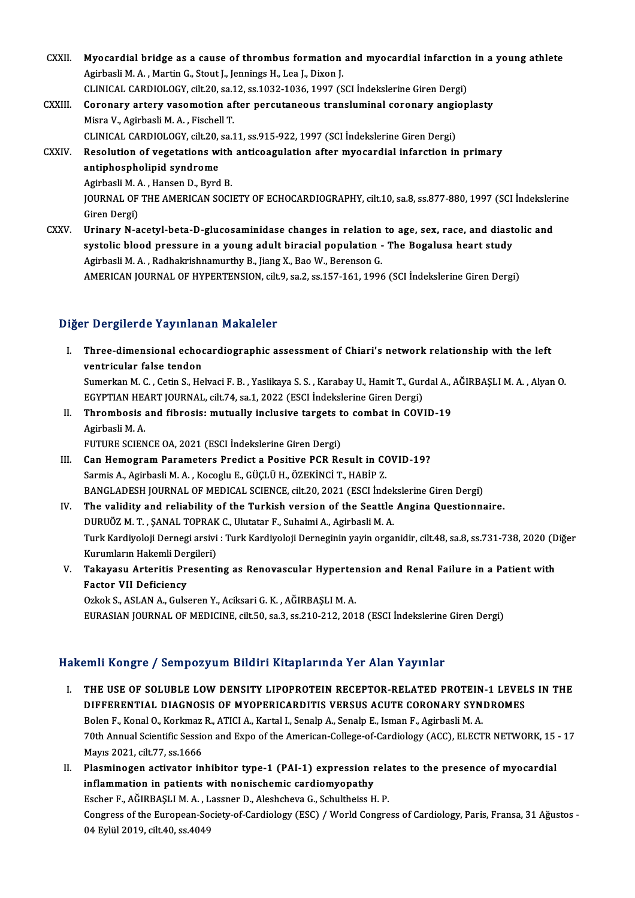- CXXII. Myocardial bridge as a cause of thrombus formation and myocardial infarction in a young athlete<br>Agiphoeli M.A. Mortin C. Stout Llennings H. Lee L. Divon L. Myocardial bridge as a cause of thrombus formation<br>Agirbasli M. A. , Martin G., Stout J., Jennings H., Lea J., Dixon J.<br>CLINICAL CARDIOLOCY si<sup>lt 20</sup>, 82.12, 83.1922,1926,1997 (S Myocardial bridge as a cause of thrombus formation and myocardial infarction<br>Agirbasli M. A. , Martin G., Stout J., Jennings H., Lea J., Dixon J.<br>CLINICAL CARDIOLOGY, cilt.20, sa.12, ss.1032-1036, 1997 (SCI İndekslerine Gi Agirbasli M. A. , Martin G., Stout J., Jennings H., Lea J., Dixon J.<br>CLINICAL CARDIOLOGY, cilt.20, sa.12, ss.1032-1036, 1997 (SCI İndekslerine Giren Dergi)<br>CXXIII. Coronary artery vasomotion after percutaneous transluminal
- CLINICAL CARDIOLOGY, cilt.20, sa.1<br>Coronary artery vasomotion af<br>Misra V., Agirbasli M. A. , Fischell T.<br>CLINICAL CARDIOLOCY, cilt.20, sa.1 Coronary artery vasomotion after percutaneous transluminal coronary angi<br>Misra V., Agirbasli M. A. , Fischell T.<br>CLINICAL CARDIOLOGY, cilt.20, sa.11, ss.915-922, 1997 (SCI İndekslerine Giren Dergi)<br>Peselution of vegetation Misra V., Agirbasli M. A. , Fischell T.<br>CLINICAL CARDIOLOGY, cilt.20, sa.11, ss.915-922, 1997 (SCI İndekslerine Giren Dergi)<br>CXXIV. Resolution of vegetations with anticoagulation after myocardial infarction in primary<br>anti
- CLINICAL CARDIOLOGY, cilt.20,<br>Resolution of vegetations with<br>antiphospholipid syndrome Resolution of vegetations with<br>antiphospholipid syndrome<br>Agirbasli M. A. , Hansen D., Byrd B.<br>JOUPNAL OF THE AMERICAN SOCI

antiphospholipid syndrome<br>Agirbasli M. A. , Hansen D., Byrd B.<br>JOURNAL OF THE AMERICAN SOCIETY OF ECHOCARDIOGRAPHY, cilt.10, sa.8, ss.877-880, 1997 (SCI İndekslerine<br>Ciron Dargi) Agirbasli M. A<br>JOURNAL OF<br>Giren Dergi)<br>Urinary N. A JOURNAL OF THE AMERICAN SOCIETY OF ECHOCARDIOGRAPHY, cilt.10, sa.8, ss.877-880, 1997 (SCI Indeksler<br>Giren Dergi)<br>CXXV. Urinary N-acetyl-beta-D-glucosaminidase changes in relation to age, sex, race, and diastolic and<br>systel

Giren Dergi)<br>Urinary N-acetyl-beta-D-glucosaminidase changes in relation to age, sex, race, and diast<br>systolic blood pressure in a young adult biracial population - The Bogalusa heart study<br>Agirbasli M.A., Badhalwishnamurt systolic blood pressure in a young adult biracial population - The Bogalusa heart study<br>Agirbasli M. A. , Radhakrishnamurthy B., Jiang X., Bao W., Berenson G. AMERICAN JOURNAL OF HYPERTENSION, cilt.9, sa.2, ss.157-161, 1996 (SCI İndekslerine Giren Dergi)

### Diğer Dergilerde Yayınlanan Makaleler

Iger Dergilerde Yayınlanan Makaleler<br>I. Three-dimensional echocardiographic assessment of Chiari's network relationship with the left<br>wontricular false tondon Three-dimensional echod<br>Three-dimensional echod<br>Sumerkan M.C. Cotin S. Ho Three-dimensional echocardiographic assessment of Chiari's network relationship with the left<br>ventricular false tendon<br>Sumerkan M. C. , Cetin S., Helvaci F. B. , Yaslikaya S. S. , Karabay U., Hamit T., Gurdal A., AĞIRBAŞLI ventricular false tendon<br>Sumerkan M. C. , Cetin S., Helvaci F. B. , Yaslikaya S. S. , Karabay U., Hamit T., Gurdal A., AĞIRBAŞLI M. A. , Alyan O.

EGYPTIAN HEART JOURNAL, cilt 74, sa.1, 2022 (ESCI İndekslerine Giren Dergi)

II. Thrombosis and fibrosis: mutually inclusive targets to combat in COVID-19<br>Agirbasli M. A.

FUTURE SCIENCE OA, 2021 (ESCI İndekslerine Giren Dergi)

- Agirbasli M. A.<br>FUTURE SCIENCE OA, 2021 (ESCI İndekslerine Giren Dergi)<br>III. Can Hemogram Parameters Predict a Positive PCR Result in COVID-19?<br>Sarmis A Agirbasli M. A. Kasaglu E. CÜÇLÜ H. ÖZEKİNCİ T. HARİD Z FUTURE SCIENCE OA, 2021 (ESCI İndekslerine Giren Dergi)<br>Can Hemogram Parameters Predict a Positive PCR Result in CO<br>Sarmis A., Agirbasli M.A., Kocoglu E., GÜÇLÜ H., ÖZEKİNCİ T., HABİP Z.<br>PANCI ADESH JOURNAL OF MEDICAL SCIE Sarmis A., Agirbasli M. A. , Kocoglu E., GÜÇLÜ H., ÖZEKİNCİ T., HABİP Z.<br>BANGLADESH JOURNAL OF MEDICAL SCIENCE, cilt.20, 2021 (ESCI İndekslerine Giren Dergi) Sarmis A., Agirbasli M. A., Kocoglu E., GÜÇLÜ H., ÖZEKİNCİ T., HABİP Z.<br>BANGLADESH JOURNAL OF MEDICAL SCIENCE, cilt.20, 2021 (ESCI İndekslerine Giren Dergi)<br>IV. The validity and reliability of the Turkish version of the Se
- BANGLADESH JOURNAL OF MEDICAL SCIENCE, cilt.20, 2021 (ESCI İndek<br>The validity and reliability of the Turkish version of the Seattle<br>DURUÖZ M. T. , ŞANAL TOPRAK C., Ulutatar F., Suhaimi A., Agirbasli M. A.<br>Turk Kandivalaji Turk Kardiyoloji Dernegi arsivi : Turk Kardiyoloji Derneginin yayin organidir, cilt.48, sa.8, ss.731-738, 2020 (Diğer<br>Kurumların Hakemli Dergileri) DURUÖZ M. T., ŞANAL TOPRAK C., Ulutatar F., Suhaimi A., Agirbasli M. A. Turk Kardiyoloji Dernegi arsivi : Turk Kardiyoloji Derneginin yayin organidir, cilt.48, sa.8, ss.731-738, 2020 (D<br>Kurumların Hakemli Dergileri)<br>V. Takayasu Arteritis Presenting as Renovascular Hypertension and Renal Fa
- Kurumların Hakemli Der<br><mark>Takayasu Arteritis Pr</mark>e<br>Factor VII Deficiency Takayasu Arteritis Presenting as Renovascular Hyperter<br>Factor VII Deficiency<br>Ozkok S., ASLAN A., Gulseren Y., Aciksari G. K. , AĞIRBAŞLI M. A.<br>FURASIAN JOURNAL OF MEDICINE silt 50, S2, S5, 210, 212, 201

Factor VII Deficiency<br>Ozkok S., ASLAN A., Gulseren Y., Aciksari G. K. , AĞIRBAŞLI M. A.<br>EURASIAN JOURNAL OF MEDICINE, cilt.50, sa.3, ss.210-212, 2018 (ESCI İndekslerine Giren Dergi)

### Hakemli Kongre / Sempozyum Bildiri Kitaplarında Yer Alan Yayınlar

- I. THE USE OF SOLUBLE LOWDENSITY LIPOPROTEIN RECEPTOR-RELATED PROTEIN-1 LEVELS IN THE MIT ROLLER C / COMPONYUM DRUM TREEPERTMUN TOT MUN THYMNI<br>THE USE OF SOLUBLE LOW DENSITY LIPOPROTEIN RECEPTOR-RELATED PROTEIN-1 LEVEL<br>DIFFERENTIAL DIAGNOSIS OF MYOPERICARDITIS VERSUS ACUTE CORONARY SYNDROMES<br>Relati<sup>e</sup> Karel THE USE OF SOLUBLE LOW DENSITY LIPOPROTEIN RECEPTOR-RELATED PROTEIN<br>DIFFERENTIAL DIAGNOSIS OF MYOPERICARDITIS VERSUS ACUTE CORONARY SYN<br>Bolen F., Konal O., Korkmaz R., ATICI A., Kartal I., Senalp A., Senalp E., Isman F., A Bolen F., Konal O., Korkmaz R., ATICI A., Kartal I., Senalp A., Senalp E., Isman F., Agirbasli M. A.<br>70th Annual Scientific Session and Expo of the American-College-of-Cardiology (ACC), ELECTR NETWORK, 15 - 17 Mayıs2021, cilt.77, ss.1666 Toth Annual Scientific Session and Expo of the American-College-of-Cardiology (ACC), ELECTR NETWORK, 15<br>Mayıs 2021, cilt.77, ss.1666<br>II. Plasminogen activator inhibitor type-1 (PAI-1) expression relates to the presence of
- Mayıs 2021, cilt.77, ss.1666<br>Plasminogen activator inhibitor type-1 (PAI-1) expression r<br>inflammation in patients with nonischemic cardiomyopathy<br>Fesher E. Ağupassi M.A., Lessner D. Aleshshews G. Schultheiss H Plasminogen activator inhibitor type-1 (PAI-1) expression rela<br>inflammation in patients with nonischemic cardiomyopathy<br>Escher F., AĞIRBAŞLIM.A., Lassner D., Aleshcheva G., Schultheiss H. P.<br>Congress of the Euronean Sesiet inflammation in patients with nonischemic cardiomyopathy<br>Escher F., AĞIRBAŞLI M. A. , Lassner D., Aleshcheva G., Schultheiss H. P.<br>Congress of the European-Society-of-Cardiology (ESC) / World Congress of Cardiology, Paris, Escher F., AĞIRBAŞLI M. A. , L<br>Congress of the European-So<br>04 Eylül 2019, cilt.40, ss.4049